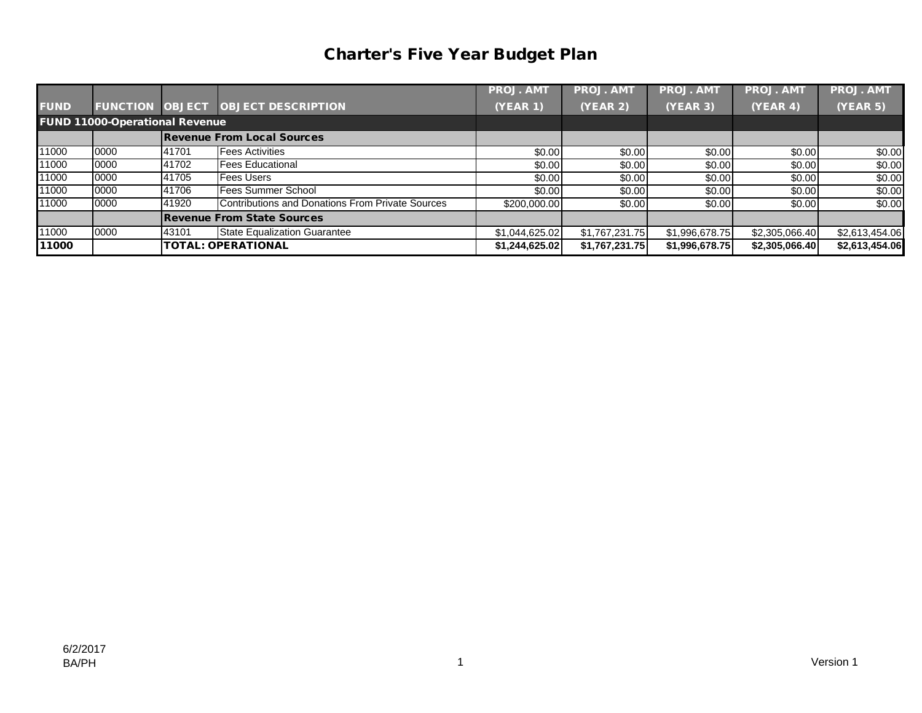## Charter's Five Year Budget Plan

|             |                                       |       |                                                  | <b>PROJ. AMT</b> | <b>PROJ. AMT</b> | <b>PROJ. AMT</b> | <b>PROJ. AMT</b> | <b>PROJ. AMT</b> |
|-------------|---------------------------------------|-------|--------------------------------------------------|------------------|------------------|------------------|------------------|------------------|
| <b>FUND</b> |                                       |       | <b>FUNCTION OBJECT OBJECT DESCRIPTION</b>        | <b>(YEAR 1)</b>  | (YEAR 2)         | (YEAR 3)         | (YEAR 4)         | <b>(YEAR 5)</b>  |
|             | <b>FUND 11000-Operational Revenue</b> |       |                                                  |                  |                  |                  |                  |                  |
|             |                                       |       | <b>Revenue From Local Sources</b>                |                  |                  |                  |                  |                  |
| 11000       | 0000                                  | 41701 | <b>Fees Activities</b>                           | \$0.00           | \$0.00           | \$0.00           | \$0.00           | \$0.00           |
| 11000       | 0000                                  | 41702 | <b>Fees Educational</b>                          | \$0.00           | \$0.00           | \$0.00           | \$0.00           | \$0.00           |
| 11000       | 0000                                  | 41705 | <b>Fees Users</b>                                | \$0.00           | \$0.00           | \$0.00           | \$0.00           | \$0.00           |
| 11000       | 0000                                  | 41706 | <b>Fees Summer School</b>                        | \$0.00           | \$0.00           | \$0.00           | \$0.00           | \$0.00           |
| 11000       | 0000                                  | 41920 | Contributions and Donations From Private Sources | \$200,000.00     | \$0.00           | \$0.00           | \$0.00           | \$0.00           |
|             |                                       |       | <b>Revenue From State Sources</b>                |                  |                  |                  |                  |                  |
| 11000       | 0000                                  | 43101 | State Equalization Guarantee                     | \$1,044,625.02   | \$1,767,231.75   | \$1,996,678.75   | \$2,305,066.40   | \$2,613,454.06   |
| 11000       |                                       |       | <b>TOTAL: OPERATIONAL</b>                        | \$1,244,625.02   | \$1,767,231.75   | \$1,996,678.75   | \$2,305,066.40   | \$2,613,454.06   |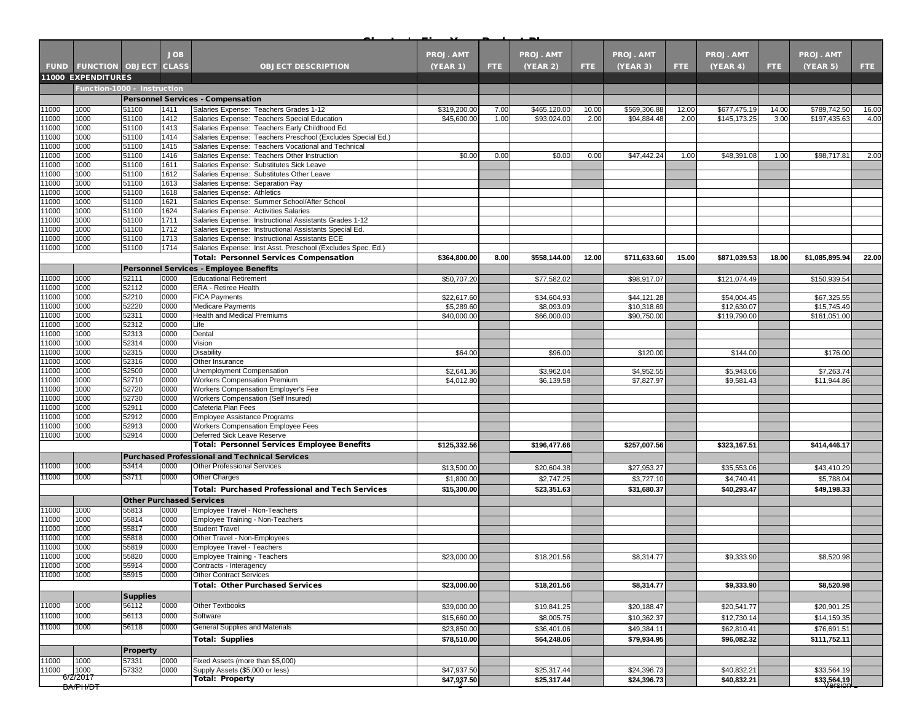|                |                                                          |                                 | <b>JOB</b>   |                                                                                                               | <b>PROJ. AMT</b> |            | <b>PROJ. AMT</b> |       | <b>PROJ. AMT</b> |       | <b>PROJ. AMT</b> |       | <b>PROJ. AMT</b> |       |
|----------------|----------------------------------------------------------|---------------------------------|--------------|---------------------------------------------------------------------------------------------------------------|------------------|------------|------------------|-------|------------------|-------|------------------|-------|------------------|-------|
|                |                                                          |                                 | <b>CLASS</b> |                                                                                                               |                  |            |                  |       |                  |       |                  |       |                  |       |
|                | <b>FUND FUNCTION OBJECT</b><br><b>11000 EXPENDITURES</b> |                                 |              | <b>OBJECT DESCRIPTION</b>                                                                                     | <b>(YEAR 1)</b>  | <b>FTE</b> | (YEAR 2)         | FTE.  | (YEAR 3)         | FTE.  | (YEAR 4)         | FTE.  | (YEAR 5)         | FTE:  |
|                | Function-1000 - Instruction                              |                                 |              |                                                                                                               |                  |            |                  |       |                  |       |                  |       |                  |       |
|                |                                                          |                                 |              | <b>Personnel Services - Compensation</b>                                                                      |                  |            |                  |       |                  |       |                  |       |                  |       |
| 1000           | 1000                                                     | 51100                           | 1411         | Salaries Expense: Teachers Grades 1-12                                                                        | \$319,200.00     | 7.00       | \$465,120.00     | 10.00 | \$569,306.88     | 12.00 | \$677,475.19     | 14.00 | \$789,742.50     | 16.00 |
| 11000          | 1000                                                     | 51100                           | 1412         | Salaries Expense: Teachers Special Education                                                                  | \$45,600.00      | 1.00       | \$93,024.00      | 2.00  | \$94,884.48      | 2.00  | \$145,173.25     | 3.00  | \$197,435.63     | 4.00  |
| 1000           | 1000                                                     | 51100                           | 1413         | Salaries Expense: Teachers Early Childhood Ed.                                                                |                  |            |                  |       |                  |       |                  |       |                  |       |
| 11000          | 1000                                                     | 51100                           | 1414         | Salaries Expense: Teachers Preschool (Excludes Special Ed.)                                                   |                  |            |                  |       |                  |       |                  |       |                  |       |
| 11000          | 1000                                                     | 51100                           | 1415         | Salaries Expense: Teachers Vocational and Technical                                                           |                  |            |                  |       |                  |       |                  |       |                  |       |
| 1000           | 1000                                                     | 51100                           | 1416         | Salaries Expense: Teachers Other Instruction                                                                  | \$0.00           | 0.00       | \$0.00           | 0.00  | \$47,442.24      | 1.00  | \$48,391.08      | 1.00  | \$98,717.81      | 2.00  |
| 11000<br>1000  | 1000<br>1000                                             | 51100<br>51100                  | 1611<br>1612 | Salaries Expense: Substitutes Sick Leave<br>Salaries Expense: Substitutes Other Leave                         |                  |            |                  |       |                  |       |                  |       |                  |       |
| 1000           | 1000                                                     | 51100                           | 1613         | Salaries Expense: Separation Pay                                                                              |                  |            |                  |       |                  |       |                  |       |                  |       |
| 11000          | 1000                                                     | 51100                           | 1618         | Salaries Expense: Athletics                                                                                   |                  |            |                  |       |                  |       |                  |       |                  |       |
| 1000           | 1000                                                     | 51100                           | 1621         | Salaries Expense: Summer School/After School                                                                  |                  |            |                  |       |                  |       |                  |       |                  |       |
| 1000           | 1000                                                     | 51100                           | 1624         | Salaries Expense: Activities Salaries                                                                         |                  |            |                  |       |                  |       |                  |       |                  |       |
| 11000          | 1000                                                     | 51100                           | 1711         | Salaries Expense: Instructional Assistants Grades 1-12                                                        |                  |            |                  |       |                  |       |                  |       |                  |       |
| 1000           | 1000                                                     | 51100                           | 1712         | Salaries Expense: Instructional Assistants Special Ed.                                                        |                  |            |                  |       |                  |       |                  |       |                  |       |
| 1000<br>1000   | 1000<br>1000                                             | 51100<br>51100                  | 1713<br>1714 | Salaries Expense: Instructional Assistants ECE<br>Salaries Expense: Inst Asst. Preschool (Excludes Spec. Ed.) |                  |            |                  |       |                  |       |                  |       |                  |       |
|                |                                                          |                                 |              | <b>Total: Personnel Services Compensation</b>                                                                 | \$364,800.00     | 8.00       | \$558,144.00     | 12.00 | \$711,633.60     | 15.00 | \$871,039.53     | 18.00 | \$1,085,895.94   | 22.00 |
|                |                                                          |                                 |              | <b>Personnel Services - Employee Benefits</b>                                                                 |                  |            |                  |       |                  |       |                  |       |                  |       |
| 11000          | 1000                                                     | 52111                           | 0000         | <b>Educational Retirement</b>                                                                                 | \$50,707.20      |            | \$77,582.02      |       | \$98,917.07      |       | \$121,074.49     |       | \$150,939.54     |       |
| 1000           | 1000                                                     | 52112                           | 0000         | <b>ERA - Retiree Health</b>                                                                                   |                  |            |                  |       |                  |       |                  |       |                  |       |
| 11000          | 1000                                                     | 52210                           | 0000         | <b>FICA Payments</b>                                                                                          | \$22,617.60      |            | \$34,604.93      |       | \$44,121.28      |       | \$54,004.45      |       | \$67,325.55      |       |
| 1000           | 1000                                                     | 52220                           | 0000         | <b>Medicare Payments</b>                                                                                      | \$5,289.60       |            | \$8,093.09       |       | \$10,318.69      |       | \$12,630.07      |       | \$15,745.49      |       |
| 1000           | 1000                                                     | 52311                           | 0000         | Health and Medical Premiums                                                                                   | \$40,000.00      |            | \$66,000.00      |       | \$90,750.00      |       | \$119,790.00     |       | \$161,051.00     |       |
| 11000          | 1000                                                     | 52312                           | 0000         | Life                                                                                                          |                  |            |                  |       |                  |       |                  |       |                  |       |
| 11000<br>11000 | 1000<br>1000                                             | 52313<br>52314                  | 0000<br>0000 | Dental<br>Vision                                                                                              |                  |            |                  |       |                  |       |                  |       |                  |       |
| 1000           | 1000                                                     | 52315                           | 0000         | <b>Disability</b>                                                                                             | \$64.00          |            | \$96.00          |       | \$120.00         |       | \$144.00         |       | \$176.00         |       |
| 11000          | 1000                                                     | 52316                           | 0000         | Other Insurance                                                                                               |                  |            |                  |       |                  |       |                  |       |                  |       |
| 1000           | 1000                                                     | 52500                           | 0000         | Unemployment Compensation                                                                                     | \$2,641.36       |            | \$3,962.04       |       | \$4,952.55       |       | \$5,943.06       |       | \$7,263.74       |       |
| 1000           | 1000                                                     | 52710                           | 0000         | <b>Workers Compensation Premium</b>                                                                           | \$4,012.80       |            | \$6,139.58       |       | \$7,827.97       |       | \$9,581.43       |       | \$11,944.86      |       |
| 11000          | 1000                                                     | 52720                           | 0000         | Workers Compensation Employer's Fee                                                                           |                  |            |                  |       |                  |       |                  |       |                  |       |
| 11000          | 1000                                                     | 52730                           | 0000         | Workers Compensation (Self Insured)                                                                           |                  |            |                  |       |                  |       |                  |       |                  |       |
| 1000           | 1000                                                     | 52911                           | 0000         | Cafeteria Plan Fees                                                                                           |                  |            |                  |       |                  |       |                  |       |                  |       |
| 1000<br>11000  | 1000<br>1000                                             | 52912<br>52913                  | 0000<br>0000 | Employee Assistance Programs<br>Workers Compensation Employee Fees                                            |                  |            |                  |       |                  |       |                  |       |                  |       |
| 1000           | 1000                                                     | 52914                           | 0000         | Deferred Sick Leave Reserve                                                                                   |                  |            |                  |       |                  |       |                  |       |                  |       |
|                |                                                          |                                 |              | <b>Total: Personnel Services Employee Benefits</b>                                                            | \$125,332.56     |            | \$196,477.66     |       | \$257,007.56     |       | \$323,167.51     |       | \$414,446.17     |       |
|                |                                                          |                                 |              | <b>Purchased Professional and Technical Services</b>                                                          |                  |            |                  |       |                  |       |                  |       |                  |       |
| 11000          | 1000                                                     | 53414                           | 0000         | <b>Other Professional Services</b>                                                                            | \$13,500.00      |            | \$20,604.38      |       | \$27,953.27      |       | \$35,553.06      |       | \$43,410.29      |       |
| 11000          | 1000                                                     | 53711                           | 0000         | <b>Other Charges</b>                                                                                          | \$1,800.00       |            | \$2,747.25       |       | \$3,727.10       |       | \$4,740.41       |       | \$5,788.04       |       |
|                |                                                          |                                 |              | <b>Total: Purchased Professional and Tech Services</b>                                                        | \$15,300.00      |            | \$23,351.63      |       | \$31,680.37      |       | \$40,293.47      |       | \$49,198.33      |       |
|                |                                                          | <b>Other Purchased Services</b> |              |                                                                                                               |                  |            |                  |       |                  |       |                  |       |                  |       |
| 1000           | 1000                                                     | 55813                           | 0000         | Employee Travel - Non-Teachers                                                                                |                  |            |                  |       |                  |       |                  |       |                  |       |
| 1000           | 1000                                                     | 55814                           | 0000         | Employee Training - Non-Teachers                                                                              |                  |            |                  |       |                  |       |                  |       |                  |       |
| 1000           | 1000                                                     | 55817                           | 0000         | <b>Student Travel</b>                                                                                         |                  |            |                  |       |                  |       |                  |       |                  |       |
| 1000           | 1000                                                     | 55818                           | 0000         | Other Travel - Non-Employees                                                                                  |                  |            |                  |       |                  |       |                  |       |                  |       |
| 1000           | 1000                                                     | 55819                           | 0000         | Employee Travel - Teachers                                                                                    |                  |            |                  |       |                  |       |                  |       |                  |       |
| 11000          | 1000                                                     | 55820                           | 0000         | <b>Employee Training - Teachers</b>                                                                           | \$23,000.00      |            | \$18,201.56      |       | \$8,314.77       |       | \$9,333.90       |       | \$8,520.98       |       |
| 11000<br>11000 | 1000<br>1000                                             | 55914<br>55915                  | 0000<br>0000 | Contracts - Interagency<br><b>Other Contract Services</b>                                                     |                  |            |                  |       |                  |       |                  |       |                  |       |
|                |                                                          |                                 |              | <b>Total: Other Purchased Services</b>                                                                        | \$23,000.00      |            | \$18,201.56      |       | \$8,314.77       |       | \$9,333.90       |       | \$8,520.98       |       |
|                |                                                          | <b>Supplies</b>                 |              |                                                                                                               |                  |            |                  |       |                  |       |                  |       |                  |       |
| 11000          | 1000                                                     | 56112                           | 0000         | <b>Other Textbooks</b>                                                                                        | \$39,000.00      |            | \$19,841.25      |       | \$20,188.47      |       | \$20,541.77      |       | \$20,901.25      |       |
| 11000          | 1000                                                     | 56113                           | 0000         | Software                                                                                                      | \$15,660.00      |            | \$8,005.75       |       | \$10,362.37      |       | \$12,730.14      |       | \$14,159.35      |       |
| 11000          | 1000                                                     | 56118                           | 0000         | General Supplies and Materials                                                                                | \$23,850.00      |            | \$36,401.06      |       | \$49,384.11      |       | \$62,810.41      |       | \$76,691.51      |       |
|                |                                                          |                                 |              |                                                                                                               |                  |            |                  |       | \$79.934.95      |       | \$96,082.32      |       |                  |       |
|                |                                                          |                                 |              | <b>Total: Supplies</b>                                                                                        | \$78,510.00      |            | \$64,248.06      |       |                  |       |                  |       | \$111,752.11     |       |
|                |                                                          | <b>Property</b><br>57331        |              | Fixed Assets (more than \$5,000)                                                                              |                  |            |                  |       |                  |       |                  |       |                  |       |
| 11000<br>1000  | 1000<br>1000                                             | 57332                           | 0000<br>0000 | Supply Assets (\$5,000 or less)                                                                               | \$47,937.50      |            | \$25,317.44      |       | \$24,396.73      |       | \$40,832.21      |       | \$33,564.19      |       |
|                | 6/2/2017                                                 |                                 |              | <b>Total: Property</b>                                                                                        | \$47,937.50      |            | \$25,317.44      |       | \$24,396.73      |       | \$40,832.21      |       | \$33,564.19      |       |
|                | <b>BA/PH/DT</b>                                          |                                 |              |                                                                                                               |                  |            |                  |       |                  |       |                  |       |                  |       |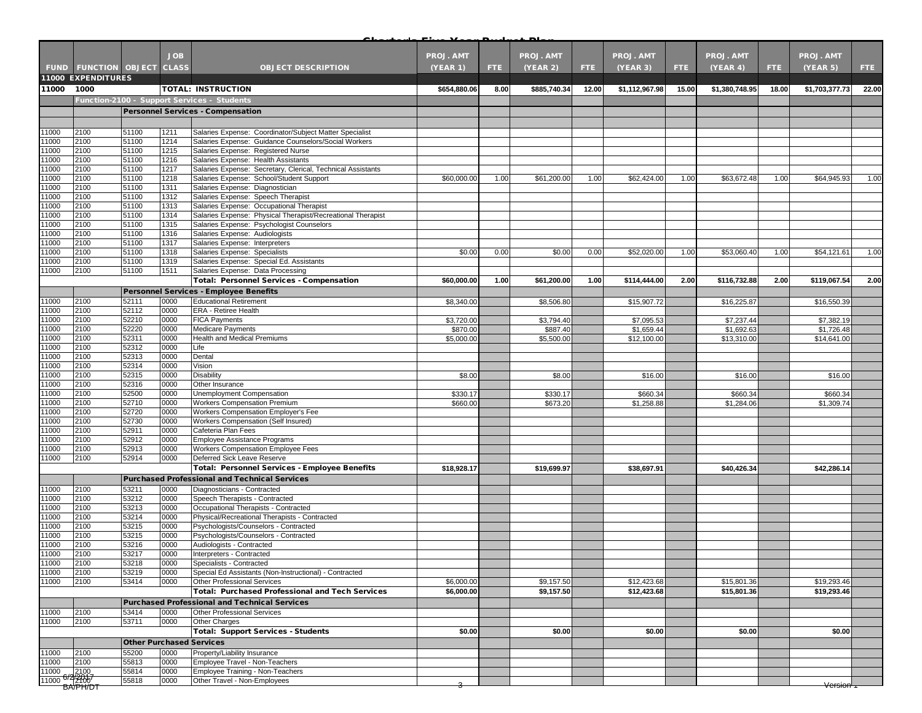|                |                             |                                 | <b>JOB</b>   |                                                                                                         | <b>PROJ. AMT</b> |      | PROJ. AMT    |       | <b>PROJ. AMT</b> |       | <b>PROJ. AMT</b> |       | <b>PROJ. AMT</b> |       |
|----------------|-----------------------------|---------------------------------|--------------|---------------------------------------------------------------------------------------------------------|------------------|------|--------------|-------|------------------|-------|------------------|-------|------------------|-------|
|                | <b>FUND FUNCTION OBJECT</b> |                                 | <b>CLASS</b> | <b>OBJECT DESCRIPTION</b>                                                                               | (YEAR 1)         | FTE. | (YEAR 2)     | FTE:  | (YEAR 3)         | FTE.  | (YEAR 4)         | FTE.  | (YEAR 5)         | FTE.  |
|                | <b>11000 EXPENDITURES</b>   |                                 |              |                                                                                                         |                  |      |              |       |                  |       |                  |       |                  |       |
| 11000          | 1000                        |                                 |              | <b>TOTAL: INSTRUCTION</b>                                                                               | \$654,880.06     | 8.00 | \$885,740.34 | 12.00 | \$1,112,967.98   | 15.00 | \$1,380,748.95   | 18.00 | \$1,703,377.73   | 22.00 |
|                |                             |                                 |              | Function-2100 - Support Services - Students                                                             |                  |      |              |       |                  |       |                  |       |                  |       |
|                |                             |                                 |              | Personnel Services - Compensation                                                                       |                  |      |              |       |                  |       |                  |       |                  |       |
|                |                             |                                 |              |                                                                                                         |                  |      |              |       |                  |       |                  |       |                  |       |
| 11000          | 2100                        | 51100                           | 1211         | Salaries Expense: Coordinator/Subject Matter Specialist                                                 |                  |      |              |       |                  |       |                  |       |                  |       |
| 11000          | 2100                        | 51100                           | 1214         | Salaries Expense: Guidance Counselors/Social Workers                                                    |                  |      |              |       |                  |       |                  |       |                  |       |
| 11000<br>11000 | 2100<br>2100                | 51100<br>51100                  | 1215<br>1216 | Salaries Expense: Registered Nurse<br>Salaries Expense: Health Assistants                               |                  |      |              |       |                  |       |                  |       |                  |       |
| 11000          | 2100                        | 51100                           | 1217         | Salaries Expense: Secretary, Clerical, Technical Assistants                                             |                  |      |              |       |                  |       |                  |       |                  |       |
| 11000          | 2100                        | 51100                           | 1218         | Salaries Expense: School/Student Support                                                                | \$60,000.00      | 1.00 | \$61,200.00  | 1.00  | \$62,424.00      | 1.00  | \$63,672.48      | 1.00  | \$64,945.93      | 1.00  |
| 11000          | 2100                        | 51100                           | 1311         | Salaries Expense: Diagnostician                                                                         |                  |      |              |       |                  |       |                  |       |                  |       |
| 11000          | 2100                        | 51100                           | 1312         | Salaries Expense: Speech Therapist                                                                      |                  |      |              |       |                  |       |                  |       |                  |       |
| 11000<br>11000 | 2100<br>2100                | 51100<br>51100                  | 1313<br>1314 | Salaries Expense: Occupational Therapist<br>Salaries Expense: Physical Therapist/Recreational Therapist |                  |      |              |       |                  |       |                  |       |                  |       |
| 11000          | 2100                        | 51100                           | 1315         | Salaries Expense: Psychologist Counselors                                                               |                  |      |              |       |                  |       |                  |       |                  |       |
| 11000          | 2100                        | 51100                           | 1316         | Salaries Expense: Audiologists                                                                          |                  |      |              |       |                  |       |                  |       |                  |       |
| 11000          | 2100                        | 51100                           | 1317         | Salaries Expense: Interpreters                                                                          |                  |      |              |       |                  |       |                  |       |                  |       |
| 11000          | 2100                        | 51100                           | 1318         | Salaries Expense: Specialists                                                                           | \$0.00           | 0.00 | \$0.00       | 0.00  | \$52,020.00      | 1.00  | \$53,060.40      | 1.00  | \$54,121.61      | 1.00  |
| 11000<br>11000 | 2100                        | 51100                           | 1319         | Salaries Expense: Special Ed. Assistants                                                                |                  |      |              |       |                  |       |                  |       |                  |       |
|                | 2100                        | 51100                           | 1511         | Salaries Expense: Data Processing<br>Total: Personnel Services - Compensation                           | \$60,000.00      | 1.00 | \$61,200.00  | 1.00  | \$114,444.00     | 2.00  | \$116,732.88     | 2.00  | \$119,067.54     | 2.00  |
|                |                             |                                 |              | Personnel Services - Employee Benefits                                                                  |                  |      |              |       |                  |       |                  |       |                  |       |
| 11000          | 2100                        | 52111                           | 0000         | <b>Educational Retirement</b>                                                                           | \$8,340.00       |      | \$8,506.80   |       | \$15,907.72      |       | \$16,225.87      |       | \$16,550.39      |       |
| 11000          | 2100                        | 52112                           | 0000         | <b>ERA - Retiree Health</b>                                                                             |                  |      |              |       |                  |       |                  |       |                  |       |
| 11000          | 2100                        | 52210                           | 0000         | <b>FICA Payments</b>                                                                                    | \$3,720.00       |      | \$3,794.40   |       | \$7,095.53       |       | \$7,237.44       |       | \$7,382.19       |       |
| 11000          | 2100                        | 52220                           | 0000         | <b>Medicare Payments</b>                                                                                | \$870.00         |      | \$887.40     |       | \$1,659.44       |       | \$1,692.63       |       | \$1,726.48       |       |
| 11000          | 2100                        | 52311                           | 0000         | Health and Medical Premiums                                                                             | \$5,000.00       |      | \$5,500.00   |       | \$12,100.00      |       | \$13,310.00      |       | \$14,641.00      |       |
| 11000<br>11000 | 2100<br>2100                | 52312<br>52313                  | 0000<br>0000 | Life<br>Dental                                                                                          |                  |      |              |       |                  |       |                  |       |                  |       |
| 11000          | 2100                        | 52314                           | 0000         | Vision                                                                                                  |                  |      |              |       |                  |       |                  |       |                  |       |
| 11000          | 2100                        | 52315                           | 0000         | Disability                                                                                              | \$8.00           |      | \$8.00       |       | \$16.00          |       | \$16.00          |       | \$16.00          |       |
| 11000          | 2100                        | 52316                           | 0000         | Other Insurance                                                                                         |                  |      |              |       |                  |       |                  |       |                  |       |
| 11000          | 2100                        | 52500                           | 0000         | Unemployment Compensation                                                                               | \$330.17         |      | \$330.17     |       | \$660.34         |       | \$660.34         |       | \$660.34         |       |
| 11000<br>11000 | 2100<br>2100                | 52710<br>52720                  | 0000<br>0000 | <b>Workers Compensation Premium</b>                                                                     | \$660.00         |      | \$673.20     |       | \$1,258.88       |       | \$1,284.06       |       | \$1,309.74       |       |
| 11000          | 2100                        | 52730                           | 0000         | Workers Compensation Employer's Fee<br>Workers Compensation (Self Insured)                              |                  |      |              |       |                  |       |                  |       |                  |       |
| 11000          | 2100                        | 52911                           | 0000         | Cafeteria Plan Fees                                                                                     |                  |      |              |       |                  |       |                  |       |                  |       |
| 11000          | 2100                        | 52912                           | 0000         | Employee Assistance Programs                                                                            |                  |      |              |       |                  |       |                  |       |                  |       |
| 11000          | 2100                        | 52913                           | 0000         | Workers Compensation Employee Fees                                                                      |                  |      |              |       |                  |       |                  |       |                  |       |
| 11000          | 2100                        | 52914                           | 0000         | Deferred Sick Leave Reserve                                                                             |                  |      |              |       |                  |       |                  |       |                  |       |
|                |                             |                                 |              | Total: Personnel Services - Employee Benefits                                                           | \$18,928.17      |      | \$19,699.97  |       | \$38,697.91      |       | \$40,426.34      |       | \$42,286.14      |       |
|                |                             |                                 |              | <b>Purchased Professional and Technical Services</b>                                                    |                  |      |              |       |                  |       |                  |       |                  |       |
| 11000<br>11000 | 2100<br>2100                | 53211<br>53212                  | 0000<br>0000 | Diagnosticians - Contracted<br>Speech Therapists - Contracted                                           |                  |      |              |       |                  |       |                  |       |                  |       |
| 11000          | 2100                        | 53213                           | 0000         | Occupational Therapists - Contracted                                                                    |                  |      |              |       |                  |       |                  |       |                  |       |
| 11000          | 2100                        | 53214                           | 0000         | Physical/Recreational Therapists - Contracted                                                           |                  |      |              |       |                  |       |                  |       |                  |       |
| 11000          | 2100                        | 53215                           | 0000         | Psychologists/Counselors - Contracted                                                                   |                  |      |              |       |                  |       |                  |       |                  |       |
| 11000          | 2100                        | 53215                           | 0000         | Psychologists/Counselors - Contracted                                                                   |                  |      |              |       |                  |       |                  |       |                  |       |
| 11000<br>11000 | 2100<br>2100                | 53216<br>53217                  | 0000<br>0000 | Audiologists - Contracted<br>Interpreters - Contracted                                                  |                  |      |              |       |                  |       |                  |       |                  |       |
|                | 2100                        | 53218                           | 0000         | Specialists - Contracted                                                                                |                  |      |              |       |                  |       |                  |       |                  |       |
| 11000<br>11000 | 2100                        | 53219                           | 0000         | Special Ed Assistants (Non-Instructional) - Contracted                                                  |                  |      |              |       |                  |       |                  |       |                  |       |
| 11000          | 2100                        | 53414                           | 0000         | <b>Other Professional Services</b>                                                                      | \$6,000.00       |      | \$9,157.50   |       | \$12,423.68      |       | \$15,801.36      |       | \$19,293.46      |       |
|                |                             |                                 |              | <b>Total: Purchased Professional and Tech Services</b>                                                  | \$6,000.00       |      | \$9,157.50   |       | \$12,423.68      |       | \$15,801.36      |       | \$19,293.46      |       |
|                |                             |                                 |              | <b>Purchased Professional and Technical Services</b>                                                    |                  |      |              |       |                  |       |                  |       |                  |       |
| 11000          | 2100                        | 53414                           | 0000         | Other Professional Services                                                                             |                  |      |              |       |                  |       |                  |       |                  |       |
| 11000          | 2100                        | 53711                           | 0000         | <b>Other Charges</b>                                                                                    |                  |      |              |       |                  |       |                  |       |                  |       |
|                |                             |                                 |              | <b>Total: Support Services - Students</b>                                                               | \$0.00           |      | \$0.00       |       | \$0.00           |       | \$0.00           |       | \$0.00           |       |
| 11000          | 2100                        | <b>Other Purchased Services</b> | 0000         | Property/Liability Insurance                                                                            |                  |      |              |       |                  |       |                  |       |                  |       |
| 11000          | 2100                        | 55200<br>55813                  | 0000         | Employee Travel - Non-Teachers                                                                          |                  |      |              |       |                  |       |                  |       |                  |       |
| 11000          | 2100                        | 55814                           | 0000         | Employee Training - Non-Teachers                                                                        |                  |      |              |       |                  |       |                  |       |                  |       |
| 11000 6/2/2007 |                             | 55818                           | 0000         | Other Travel - Non-Employees                                                                            |                  |      |              |       |                  |       |                  |       |                  |       |
|                | BA/PH/DT                    |                                 |              |                                                                                                         | э                |      |              |       |                  |       |                  |       | <u>Version</u>   |       |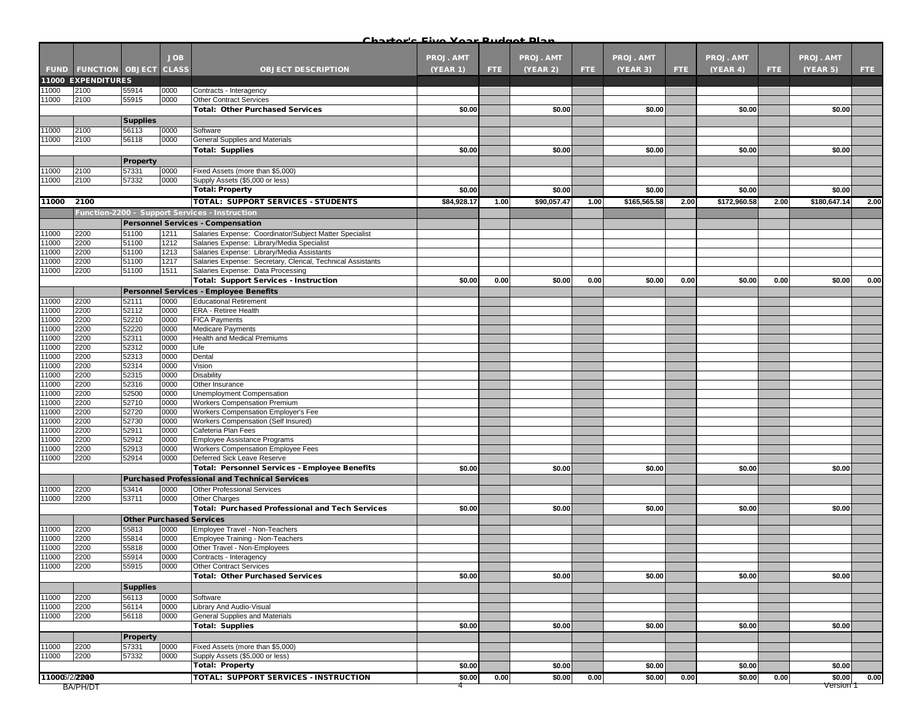| Charterla Five Vear Pudget Dlan |  |  |
|---------------------------------|--|--|
|                                 |  |  |

|               |                                   |                                 |            |                                                             | <u> Chartorle Eivo Voar Budgot Dlan</u> |      |             |      |              |      |              |      |                  |      |
|---------------|-----------------------------------|---------------------------------|------------|-------------------------------------------------------------|-----------------------------------------|------|-------------|------|--------------|------|--------------|------|------------------|------|
|               |                                   |                                 | <b>JOB</b> |                                                             | <b>PROJ. AMT</b>                        |      | PROJ. AMT   |      | PROJ. AMT    |      | PROJ. AMT    |      | <b>PROJ. AMT</b> |      |
|               |                                   |                                 |            |                                                             |                                         |      |             |      |              |      |              |      |                  |      |
|               | <b>FUND FUNCTION OBJECT CLASS</b> |                                 |            | <b>OBJECT DESCRIPTION</b>                                   | (YEAR 1)                                | FTE. | (YEAR 2)    | FTE: | (YEAR 3)     | FTE. | (YEAR 4)     | FTE: | (YEAR 5)         | FTE: |
|               | <b>11000 EXPENDITURES</b>         |                                 |            |                                                             |                                         |      |             |      |              |      |              |      |                  |      |
| 11000         | 2100                              | 55914                           | 0000       | Contracts - Interagency                                     |                                         |      |             |      |              |      |              |      |                  |      |
| 11000         | 2100                              | 55915                           | 0000       | <b>Other Contract Services</b>                              |                                         |      |             |      |              |      |              |      |                  |      |
|               |                                   |                                 |            | <b>Total: Other Purchased Services</b>                      | \$0.00                                  |      | \$0.00      |      | \$0.00       |      | \$0.00       |      | \$0.00           |      |
|               |                                   | <b>Supplies</b>                 |            |                                                             |                                         |      |             |      |              |      |              |      |                  |      |
| 11000         | 2100                              | 56113                           | 0000       | Software                                                    |                                         |      |             |      |              |      |              |      |                  |      |
| 11000         | 2100                              | 56118                           | 0000       | General Supplies and Materials                              |                                         |      |             |      |              |      |              |      |                  |      |
|               |                                   |                                 |            | <b>Total: Supplies</b>                                      | \$0.00                                  |      | \$0.00      |      | \$0.00       |      | \$0.00       |      | \$0.00           |      |
|               |                                   | Property                        |            |                                                             |                                         |      |             |      |              |      |              |      |                  |      |
| 11000         | 2100                              | 57331                           | 0000       | Fixed Assets (more than \$5,000)                            |                                         |      |             |      |              |      |              |      |                  |      |
| 11000         | 2100                              | 57332                           | 0000       | Supply Assets (\$5,000 or less)                             |                                         |      |             |      |              |      |              |      |                  |      |
|               |                                   |                                 |            | <b>Total: Property</b>                                      | \$0.00                                  |      | \$0.00      |      | \$0.00       |      | \$0.00       |      | \$0.00           |      |
| 11000         | 2100                              |                                 |            | TOTAL: SUPPORT SERVICES - STUDENTS                          | \$84,928.17                             | 1.00 | \$90,057.47 | 1.00 | \$165,565.58 | 2.00 | \$172,960.58 | 2.00 | \$180,647.14     | 2.00 |
|               |                                   |                                 |            | Function-2200 - Support Services - Instruction              |                                         |      |             |      |              |      |              |      |                  |      |
|               |                                   |                                 |            | Personnel Services - Compensation                           |                                         |      |             |      |              |      |              |      |                  |      |
| 11000         | 2200                              | 51100                           | 1211       | Salaries Expense: Coordinator/Subject Matter Specialist     |                                         |      |             |      |              |      |              |      |                  |      |
| 11000         | 2200                              | 51100                           | 1212       | Salaries Expense: Library/Media Specialist                  |                                         |      |             |      |              |      |              |      |                  |      |
| 11000         | 2200                              | 51100                           | 1213       | Salaries Expense: Library/Media Assistants                  |                                         |      |             |      |              |      |              |      |                  |      |
| 11000         | 2200                              | 51100                           | 1217       | Salaries Expense: Secretary, Clerical, Technical Assistants |                                         |      |             |      |              |      |              |      |                  |      |
| 11000         | 2200                              | 51100                           | 1511       | Salaries Expense: Data Processing                           |                                         |      |             |      |              |      |              |      |                  |      |
|               |                                   |                                 |            | <b>Total: Support Services - Instruction</b>                | \$0.00                                  | 0.00 | \$0.00      | 0.00 | \$0.00       | 0.00 | \$0.00       | 0.00 | \$0.00           | 0.00 |
|               |                                   |                                 |            | Personnel Services - Employee Benefits                      |                                         |      |             |      |              |      |              |      |                  |      |
| 11000         | 2200                              | 52111                           | 0000       | <b>Educational Retirement</b>                               |                                         |      |             |      |              |      |              |      |                  |      |
| 11000         | 2200                              | 52112                           | 0000       | ERA - Retiree Health                                        |                                         |      |             |      |              |      |              |      |                  |      |
| 11000         | 2200                              | 52210                           | 0000       | <b>FICA Payments</b>                                        |                                         |      |             |      |              |      |              |      |                  |      |
| 11000         | 2200                              | 52220                           | 0000       | <b>Medicare Payments</b>                                    |                                         |      |             |      |              |      |              |      |                  |      |
| 11000         | 2200                              | 52311                           | 0000       | Health and Medical Premiums                                 |                                         |      |             |      |              |      |              |      |                  |      |
| 11000         | 2200                              | 52312                           | 0000       | Life                                                        |                                         |      |             |      |              |      |              |      |                  |      |
| 11000         | 2200                              | 52313                           | 0000       | Dental                                                      |                                         |      |             |      |              |      |              |      |                  |      |
| 11000         | 2200                              | 52314                           | 0000       | Vision                                                      |                                         |      |             |      |              |      |              |      |                  |      |
| 11000         | 2200                              | 52315                           | 0000       | <b>Disability</b>                                           |                                         |      |             |      |              |      |              |      |                  |      |
| 11000         | 2200                              | 52316                           | 0000       | Other Insurance                                             |                                         |      |             |      |              |      |              |      |                  |      |
| 11000         | 2200                              | 52500                           | 0000       | Unemployment Compensation                                   |                                         |      |             |      |              |      |              |      |                  |      |
| 11000         | 2200                              | 52710                           | 0000       | <b>Workers Compensation Premium</b>                         |                                         |      |             |      |              |      |              |      |                  |      |
| 11000         | 2200                              | 52720                           | 0000       | Workers Compensation Employer's Fee                         |                                         |      |             |      |              |      |              |      |                  |      |
| 11000         | 2200                              | 52730                           | 0000       | Workers Compensation (Self Insured)                         |                                         |      |             |      |              |      |              |      |                  |      |
| 11000         | 2200                              | 52911                           | 0000       | Cafeteria Plan Fees                                         |                                         |      |             |      |              |      |              |      |                  |      |
| 11000         | 2200                              | 52912                           | 0000       | Employee Assistance Programs                                |                                         |      |             |      |              |      |              |      |                  |      |
| 11000         | 2200                              | 52913                           | 0000       | Workers Compensation Employee Fees                          |                                         |      |             |      |              |      |              |      |                  |      |
| 11000         | 2200                              | 52914                           | 0000       | Deferred Sick Leave Reserve                                 |                                         |      |             |      |              |      |              |      |                  |      |
|               |                                   |                                 |            | Total: Personnel Services - Employee Benefits               | \$0.00                                  |      | \$0.00      |      | \$0.00       |      | \$0.00       |      | \$0.00           |      |
|               |                                   |                                 |            | <b>Purchased Professional and Technical Services</b>        |                                         |      |             |      |              |      |              |      |                  |      |
| 11000         | 2200                              | 53414                           | 0000       | <b>Other Professional Services</b>                          |                                         |      |             |      |              |      |              |      |                  |      |
| 11000         | 2200                              | 53711                           | 0000       | <b>Other Charges</b>                                        |                                         |      |             |      |              |      |              |      |                  |      |
|               |                                   |                                 |            | <b>Total: Purchased Professional and Tech Services</b>      | \$0.00                                  |      | \$0.00      |      | \$0.00       |      | \$0.00       |      | \$0.00           |      |
|               |                                   | <b>Other Purchased Services</b> |            |                                                             |                                         |      |             |      |              |      |              |      |                  |      |
| 11000         | 2200                              | 55813                           | 0000       | Employee Travel - Non-Teachers                              |                                         |      |             |      |              |      |              |      |                  |      |
| 11000         | 2200                              | 55814                           | 0000       | Employee Training - Non-Teachers                            |                                         |      |             |      |              |      |              |      |                  |      |
| 11000         | 2200                              | 55818                           | 0000       | Other Travel - Non-Employees                                |                                         |      |             |      |              |      |              |      |                  |      |
| 11000         | 2200                              | 55914                           | 0000       | Contracts - Interagency                                     |                                         |      |             |      |              |      |              |      |                  |      |
| 11000         | 2200                              | 55915                           | 0000       | <b>Other Contract Services</b>                              |                                         |      |             |      |              |      |              |      |                  |      |
|               |                                   |                                 |            | <b>Total: Other Purchased Services</b>                      | \$0.00                                  |      | \$0.00      |      | \$0.00       |      | \$0.00       |      | \$0.00           |      |
|               |                                   | <b>Supplies</b>                 |            |                                                             |                                         |      |             |      |              |      |              |      |                  |      |
| 11000         | 2200                              | 56113                           | 0000       | Software                                                    |                                         |      |             |      |              |      |              |      |                  |      |
| 11000         | 2200                              | 56114                           | 0000       | Library And Audio-Visual                                    |                                         |      |             |      |              |      |              |      |                  |      |
| 11000         | 2200                              | 56118                           | 0000       | General Supplies and Materials                              |                                         |      |             |      |              |      |              |      |                  |      |
|               |                                   |                                 |            | <b>Total: Supplies</b>                                      | \$0.00                                  |      | \$0.00      |      | \$0.00       |      | \$0.00       |      | \$0.00           |      |
|               |                                   | <b>Property</b>                 |            |                                                             |                                         |      |             |      |              |      |              |      |                  |      |
| 11000         | 2200                              | 57331                           | 0000       | Fixed Assets (more than \$5,000)                            |                                         |      |             |      |              |      |              |      |                  |      |
| 11000         | 2200                              | 57332                           | 0000       | Supply Assets (\$5,000 or less)                             |                                         |      |             |      |              |      |              |      |                  |      |
|               |                                   |                                 |            | <b>Total: Property</b>                                      | \$0.00                                  |      | \$0.00      |      | \$0.00       |      | \$0.00       |      | \$0.00           |      |
| 110006/2/2000 |                                   |                                 |            | TOTAL: SUPPORT SERVICES - INSTRUCTION                       | \$0.00                                  | 0.00 | \$0.00      | 0.00 | \$0.00       | 0.00 | \$0.00       | 0.00 | \$0.00           | 0.00 |
|               | BA/PH/DT                          |                                 |            |                                                             |                                         |      |             |      |              |      |              |      | Version 1        |      |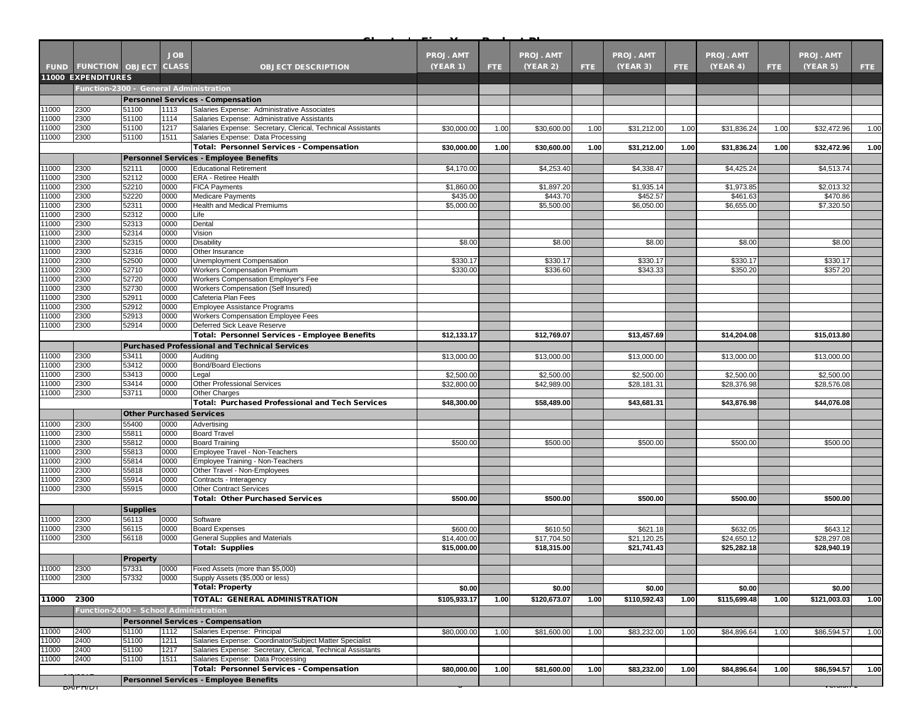|                | <b>FUND FUNCTION OBJECT</b>            |                 | <b>JOB</b><br><b>CLASS</b> | <b>OBJECT DESCRIPTION</b>                                                      | <b>PROJ. AMT</b>          |            | <b>PROJ. AMT</b>          |      | <b>PROJ. AMT</b>          | FTE. | <b>PROJ. AMT</b>          |      | <b>PROJ. AMT</b>          |      |
|----------------|----------------------------------------|-----------------|----------------------------|--------------------------------------------------------------------------------|---------------------------|------------|---------------------------|------|---------------------------|------|---------------------------|------|---------------------------|------|
|                | 11000 EXPENDITURES                     |                 |                            |                                                                                | <b>(YEAR 1)</b>           | <b>FTE</b> | <b>(YEAR 2)</b>           | FTE. | (YEAR 3)                  |      | (YEAR 4)                  | FTE. | (YEAR 5)                  | FTE. |
|                | Function-2300 - General Administration |                 |                            |                                                                                |                           |            |                           |      |                           |      |                           |      |                           |      |
|                |                                        |                 |                            | <b>Personnel Services - Compensation</b>                                       |                           |            |                           |      |                           |      |                           |      |                           |      |
| 1000           | 2300                                   | 51100           | 1113                       | Salaries Expense: Administrative Associates                                    |                           |            |                           |      |                           |      |                           |      |                           |      |
| 11000          | 2300                                   | 51100           | 1114                       | Salaries Expense: Administrative Assistants                                    |                           |            |                           |      |                           |      |                           |      |                           |      |
| 1000           | 2300                                   | 51100           | 1217                       | Salaries Expense: Secretary, Clerical, Technical Assistants                    | \$30,000.00               | 1.00       | \$30,600.00               | 1.00 | \$31,212.00               | 1.00 | \$31,836.24               | 1.00 | \$32,472.96               | 1.00 |
| 1000           | 2300                                   | 51100           | 1511                       | Salaries Expense: Data Processing                                              |                           |            |                           |      |                           |      |                           |      |                           |      |
|                |                                        |                 |                            | <b>Total: Personnel Services - Compensation</b>                                | \$30,000.00               | 1.00       | \$30,600.00               | 1.00 | \$31,212.00               | 1.00 | \$31,836.24               | 1.00 | \$32,472.96               | 1.00 |
| 1000           | 2300                                   | 52111           | 0000                       | <b>Personnel Services - Employee Benefits</b><br><b>Educational Retirement</b> | \$4,170.00                |            | \$4,253.40                |      | \$4,338.47                |      | \$4,425.24                |      | \$4,513.74                |      |
| 11000          | 2300                                   | 52112           | 0000                       | <b>ERA - Retiree Health</b>                                                    |                           |            |                           |      |                           |      |                           |      |                           |      |
| 11000          | 2300                                   | 52210           | 0000                       | <b>FICA Payments</b>                                                           | \$1,860.00                |            | \$1,897.20                |      | \$1,935.14                |      | \$1,973.85                |      | \$2,013.32                |      |
| 11000          | 2300                                   | 52220           | 0000                       | <b>Medicare Payments</b>                                                       | \$435.00                  |            | \$443.70                  |      | \$452.57                  |      | \$461.63                  |      | \$470.86                  |      |
| 1000           | 2300                                   | 52311           | 0000                       | Health and Medical Premiums                                                    | \$5,000.00                |            | \$5,500.00                |      | \$6,050.00                |      | \$6,655.00                |      | \$7,320.50                |      |
| 11000          | 2300                                   | 52312           | 0000                       | Life                                                                           |                           |            |                           |      |                           |      |                           |      |                           |      |
| 11000<br>1000  | 2300<br>2300                           | 52313<br>52314  | 0000<br>0000               | Dental<br>Vision                                                               |                           |            |                           |      |                           |      |                           |      |                           |      |
| 1000           | 2300                                   | 52315           | 0000                       | Disability                                                                     | \$8.00                    |            | \$8.00                    |      | \$8.00                    |      | \$8.00                    |      | \$8.00                    |      |
| 11000          | 2300                                   | 52316           | 0000                       | Other Insurance                                                                |                           |            |                           |      |                           |      |                           |      |                           |      |
| 1000           | 2300                                   | 52500           | 0000                       | Unemployment Compensation                                                      | \$330.17                  |            | \$330.17                  |      | \$330.17                  |      | \$330.17                  |      | \$330.17                  |      |
| 11000          | 2300                                   | 52710           | 0000                       | <b>Workers Compensation Premium</b>                                            | \$330.00                  |            | \$336.60                  |      | \$343.33                  |      | \$350.20                  |      | \$357.20                  |      |
| 11000          | 2300                                   | 52720           | 0000                       | Workers Compensation Employer's Fee                                            |                           |            |                           |      |                           |      |                           |      |                           |      |
| 1000<br>11000  | 2300<br>2300                           | 52730<br>52911  | 0000<br>0000               | Workers Compensation (Self Insured)<br>Cafeteria Plan Fees                     |                           |            |                           |      |                           |      |                           |      |                           |      |
| 11000          | 2300                                   | 52912           | 0000                       | Employee Assistance Programs                                                   |                           |            |                           |      |                           |      |                           |      |                           |      |
| 1000           | 2300                                   | 52913           | 0000                       | Workers Compensation Employee Fees                                             |                           |            |                           |      |                           |      |                           |      |                           |      |
| 1000           | 2300                                   | 52914           | 0000                       | Deferred Sick Leave Reserve                                                    |                           |            |                           |      |                           |      |                           |      |                           |      |
|                |                                        |                 |                            | Total: Personnel Services - Employee Benefits                                  | \$12,133.17               |            | \$12,769.07               |      | \$13,457.69               |      | \$14,204.08               |      | \$15,013.80               |      |
|                |                                        |                 |                            | <b>Purchased Professional and Technical Services</b>                           |                           |            |                           |      |                           |      |                           |      |                           |      |
| 11000          | 2300                                   | 53411           | 0000                       | Auditing                                                                       | \$13,000.00               |            | \$13,000.00               |      | \$13,000.00               |      | \$13,000.00               |      | \$13,000.00               |      |
| 1000           | 2300                                   | 53412           | 0000                       | <b>Bond/Board Elections</b>                                                    |                           |            |                           |      |                           |      |                           |      |                           |      |
| 1000<br>11000  | 2300<br>2300                           | 53413<br>53414  | 0000<br>0000               | Legal<br><b>Other Professional Services</b>                                    | \$2,500.00<br>\$32,800.00 |            | \$2,500.00<br>\$42,989.00 |      | \$2,500.00<br>\$28,181.31 |      | \$2,500.00<br>\$28,376.98 |      | \$2,500.00<br>\$28,576.08 |      |
| 1000           | 2300                                   | 53711           | 0000                       | <b>Other Charges</b>                                                           |                           |            |                           |      |                           |      |                           |      |                           |      |
|                |                                        |                 |                            | <b>Total: Purchased Professional and Tech Services</b>                         | \$48,300.00               |            | \$58,489.00               |      | \$43,681.31               |      | \$43,876.98               |      | \$44,076.08               |      |
|                |                                        |                 |                            | <b>Other Purchased Services</b>                                                |                           |            |                           |      |                           |      |                           |      |                           |      |
| 1000           | 2300                                   | 55400           | 0000                       | Advertising                                                                    |                           |            |                           |      |                           |      |                           |      |                           |      |
| 11000          | 2300                                   | 55811           | 0000                       | <b>Board Travel</b>                                                            |                           |            |                           |      |                           |      |                           |      |                           |      |
| 1000           | 2300                                   | 55812           | 0000                       | <b>Board Training</b>                                                          | \$500.00                  |            | \$500.00                  |      | \$500.00                  |      | \$500.00                  |      | \$500.00                  |      |
| 1000           | 2300                                   | 55813           | 0000                       | Employee Travel - Non-Teachers                                                 |                           |            |                           |      |                           |      |                           |      |                           |      |
| 11000<br>1000  | 2300<br>2300                           | 55814<br>55818  | 0000<br>0000               | Employee Training - Non-Teachers<br>Other Travel - Non-Employees               |                           |            |                           |      |                           |      |                           |      |                           |      |
| 1000           | 2300                                   | 55914           | 0000                       | Contracts - Interagency                                                        |                           |            |                           |      |                           |      |                           |      |                           |      |
| 11000          | 2300                                   | 55915           | 0000                       | <b>Other Contract Services</b>                                                 |                           |            |                           |      |                           |      |                           |      |                           |      |
|                |                                        |                 |                            | <b>Total: Other Purchased Services</b>                                         | \$500.00                  |            | \$500.00                  |      | \$500.00                  |      | \$500.00                  |      | \$500.00                  |      |
|                |                                        | <b>Supplies</b> |                            |                                                                                |                           |            |                           |      |                           |      |                           |      |                           |      |
| 11000          | 2300                                   | 56113           | 0000                       | Software                                                                       |                           |            |                           |      |                           |      |                           |      |                           |      |
| 11000          | 2300                                   | 56115           | 0000                       | <b>Board Expenses</b>                                                          | \$600.00                  |            | \$610.50                  |      | \$621.18                  |      | \$632.05                  |      | \$643.12                  |      |
| 11000          | 2300                                   | 56118           | 0000                       | General Supplies and Materials                                                 | \$14,400.00               |            | \$17,704.50               |      | \$21,120.25               |      | \$24,650.12               |      | \$28,297.08               |      |
|                |                                        |                 |                            | <b>Total: Supplies</b>                                                         | \$15,000.00               |            | \$18,315.00               |      | \$21,741.43               |      | \$25,282.18               |      | \$28,940.19               |      |
|                |                                        | <b>Property</b> |                            |                                                                                |                           |            |                           |      |                           |      |                           |      |                           |      |
| 11000<br>11000 | 2300<br>2300                           | 57331<br>57332  | 0000<br>0000               | Fixed Assets (more than \$5,000)<br>Supply Assets (\$5,000 or less)            |                           |            |                           |      |                           |      |                           |      |                           |      |
|                |                                        |                 |                            | <b>Total: Property</b>                                                         | \$0.00                    |            | \$0.00                    |      | \$0.00                    |      | \$0.00                    |      | \$0.00                    |      |
| 11000 2300     |                                        |                 |                            | <b>TOTAL: GENERAL ADMINISTRATION</b>                                           | \$105,933.17              | 1.00       | \$120,673.07              | 1.00 | \$110,592.43              | 1.00 | \$115,699.48              | 1.00 | \$121,003.03              | 1.00 |
|                | Function-2400 - School Administration  |                 |                            |                                                                                |                           |            |                           |      |                           |      |                           |      |                           |      |
|                |                                        |                 |                            | <b>Personnel Services - Compensation</b>                                       |                           |            |                           |      |                           |      |                           |      |                           |      |
| 11000          | 2400                                   | 51100           | 1112                       | Salaries Expense: Principal                                                    | \$80,000.00               | 1.00       | \$81,600.00               | 1.00 | \$83,232.00               | 1.00 | \$84,896.64               | 1.00 | \$86,594.57               | 1.00 |
| 11000          | 2400                                   | 51100           | 1211                       | Salaries Expense: Coordinator/Subject Matter Specialist                        |                           |            |                           |      |                           |      |                           |      |                           |      |
| 11000          | 2400                                   | 51100           | 1217                       | Salaries Expense: Secretary, Clerical, Technical Assistants                    |                           |            |                           |      |                           |      |                           |      |                           |      |
| 1000           | 2400                                   | 51100           | 1511                       | Salaries Expense: Data Processing                                              |                           |            |                           |      |                           |      |                           |      |                           |      |
|                |                                        |                 |                            | <b>Total: Personnel Services - Compensation</b>                                | \$80,000.00               | 1.00       | \$81,600.00               | 1.00 | \$83,232.00               | 1.00 | \$84,896.64               | 1.00 | \$86,594.57               | 1.00 |
|                |                                        |                 |                            | <b>Personnel Services - Employee Benefits</b>                                  |                           |            |                           |      |                           |      |                           |      |                           |      |
|                | וטוחזואס                               |                 |                            |                                                                                |                           |            |                           |      |                           |      |                           |      | जजजा                      |      |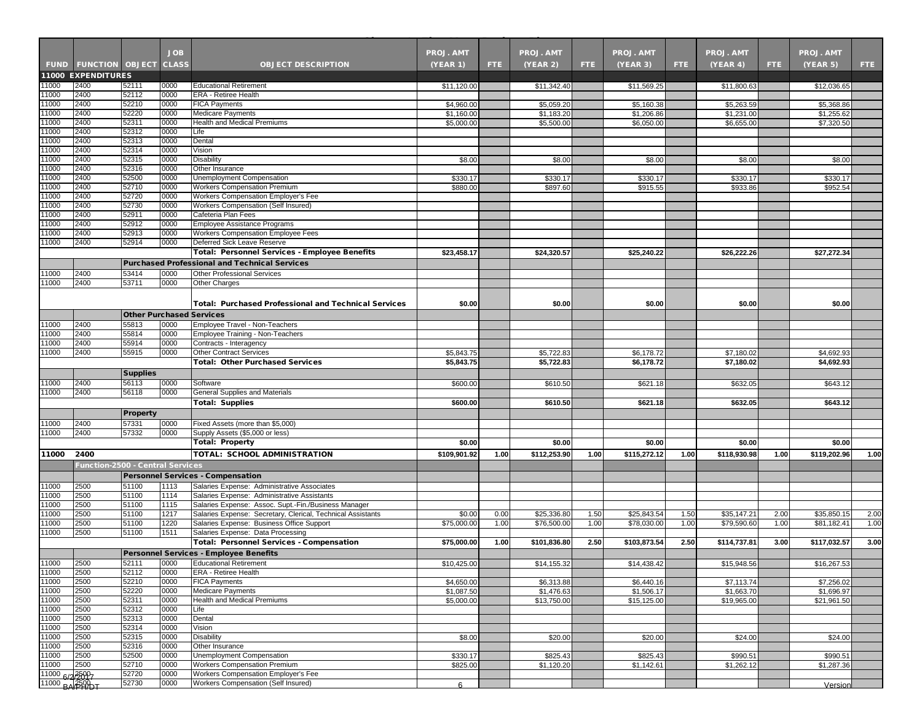|                 |                                  |                                 | <b>JOB</b>   |                                                                                                     | <b>PROJ. AMT</b> |      | <b>PROJ. AMT</b> |      | <b>PROJ. AMT</b> |      | <b>PROJ. AMT</b> |      | <b>PROJ. AMT</b> |      |
|-----------------|----------------------------------|---------------------------------|--------------|-----------------------------------------------------------------------------------------------------|------------------|------|------------------|------|------------------|------|------------------|------|------------------|------|
|                 | FUND FUNCTION OBJECT CLASS       |                                 |              | <b>OBJECT DESCRIPTION</b>                                                                           | (YEAR 1)         | FTE. | (YEAR 2)         | FTE: | (YEAR 3)         | FTE. | (YEAR 4)         | FTE. | (YEAR 5)         | FTE: |
|                 | <b>11000 EXPENDITURES</b>        |                                 |              |                                                                                                     |                  |      |                  |      |                  |      |                  |      |                  |      |
| 1000            | 2400<br>2400                     | 52111<br>52112                  | 0000<br>0000 | <b>Educational Retirement</b><br>ERA - Retiree Health                                               | \$11,120.00      |      | \$11,342.40      |      | \$11,569.25      |      | \$11,800.63      |      | \$12,036.65      |      |
| 1000<br>1000    | 2400                             | 52210                           | 0000         | <b>FICA Payments</b>                                                                                | \$4,960.00       |      | \$5,059.20       |      | \$5,160.38       |      | \$5,263.59       |      | \$5,368.86       |      |
| 1000            | 2400                             | 52220                           | 0000         | <b>Medicare Payments</b>                                                                            | \$1,160.00       |      | \$1,183.20       |      | \$1,206.86       |      | \$1,231.00       |      | \$1,255.62       |      |
| 11000           | 2400                             | 52311                           | 0000         | Health and Medical Premiums                                                                         | \$5,000.00       |      | \$5,500.00       |      | \$6,050.00       |      | \$6,655.00       |      | \$7,320.50       |      |
| 11000           | 2400                             | 52312                           | 0000         | Life                                                                                                |                  |      |                  |      |                  |      |                  |      |                  |      |
| 1000            | 2400                             | 52313                           | 0000         | Dental                                                                                              |                  |      |                  |      |                  |      |                  |      |                  |      |
| 11000           | 2400                             | 52314                           | 0000         | Vision                                                                                              |                  |      |                  |      |                  |      |                  |      |                  |      |
| 1000            | 2400<br>2400                     | 52315                           | 0000<br>0000 | <b>Disability</b><br>Other Insurance                                                                | \$8.00           |      | \$8.00           |      | \$8.00           |      | \$8.00           |      | \$8.00           |      |
| 1000<br>11000   | 2400                             | 52316<br>52500                  | 0000         | Unemployment Compensation                                                                           | \$330.17         |      | \$330.17         |      | \$330.17         |      | \$330.17         |      | \$330.17         |      |
| 11000           | 2400                             | 52710                           | 0000         | <b>Workers Compensation Premium</b>                                                                 | \$880.00         |      | \$897.60         |      | \$915.55         |      | \$933.86         |      | \$952.54         |      |
| 1000            | 2400                             | 52720                           | 0000         | Workers Compensation Employer's Fee                                                                 |                  |      |                  |      |                  |      |                  |      |                  |      |
| 11000           | 2400                             | 52730                           | 0000         | Workers Compensation (Self Insured)                                                                 |                  |      |                  |      |                  |      |                  |      |                  |      |
| 11000           | 2400                             | 52911                           | 0000         | Cafeteria Plan Fees                                                                                 |                  |      |                  |      |                  |      |                  |      |                  |      |
| 11000           | 2400                             | 52912                           | 0000         | Employee Assistance Programs                                                                        |                  |      |                  |      |                  |      |                  |      |                  |      |
| 1000            | 2400                             | 52913                           | 0000         | Workers Compensation Employee Fees                                                                  |                  |      |                  |      |                  |      |                  |      |                  |      |
| 11000           | 2400                             | 52914                           | 0000         | Deferred Sick Leave Reserve<br><b>Total: Personnel Services - Employee Benefits</b>                 | \$23,458.17      |      | \$24,320.57      |      | \$25,240.22      |      | \$26,222.26      |      | \$27,272.34      |      |
|                 |                                  |                                 |              | <b>Purchased Professional and Technical Services</b>                                                |                  |      |                  |      |                  |      |                  |      |                  |      |
| 1000            | 2400                             | 53414                           | 0000         | <b>Other Professional Services</b>                                                                  |                  |      |                  |      |                  |      |                  |      |                  |      |
| 11000           | 2400                             | 53711                           | 0000         | Other Charges                                                                                       |                  |      |                  |      |                  |      |                  |      |                  |      |
|                 |                                  |                                 |              |                                                                                                     |                  |      |                  |      |                  |      |                  |      |                  |      |
|                 |                                  |                                 |              | <b>Total: Purchased Professional and Technical Services</b>                                         | \$0.00           |      | \$0.00           |      | \$0.00           |      | \$0.00           |      | \$0.00           |      |
|                 |                                  | <b>Other Purchased Services</b> |              |                                                                                                     |                  |      |                  |      |                  |      |                  |      |                  |      |
| 11000           | 2400                             | 55813                           | 0000         | Employee Travel - Non-Teachers                                                                      |                  |      |                  |      |                  |      |                  |      |                  |      |
| 11000           | 2400                             | 55814                           | 0000         | Employee Training - Non-Teachers                                                                    |                  |      |                  |      |                  |      |                  |      |                  |      |
| 1000            | 2400                             | 55914                           | 0000         | Contracts - Interagency                                                                             |                  |      |                  |      |                  |      |                  |      |                  |      |
| 11000           | 2400                             | 55915                           | 0000         | <b>Other Contract Services</b>                                                                      | \$5,843.75       |      | \$5,722.83       |      | \$6,178.72       |      | \$7,180.02       |      | \$4,692.93       |      |
|                 |                                  |                                 |              | <b>Total: Other Purchased Services</b>                                                              | \$5,843.75       |      | \$5,722.83       |      | \$6,178.72       |      | \$7,180.02       |      | \$4,692.93       |      |
|                 |                                  | <b>Supplies</b>                 |              |                                                                                                     |                  |      |                  |      |                  |      |                  |      |                  |      |
| 11000           | 2400                             | 56113                           | 0000         | Software                                                                                            | \$600.00         |      | \$610.50         |      | \$621.18         |      | \$632.05         |      | \$643.12         |      |
| 11000           | 2400                             | 56118                           | 0000         | <b>General Supplies and Materials</b>                                                               |                  |      |                  |      |                  |      |                  |      |                  |      |
|                 |                                  |                                 |              | <b>Total: Supplies</b>                                                                              | \$600.00         |      | \$610.50         |      | \$621.18         |      | \$632.05         |      | \$643.12         |      |
|                 |                                  | <b>Property</b>                 |              |                                                                                                     |                  |      |                  |      |                  |      |                  |      |                  |      |
| 1000            | 2400                             | 57331                           | 0000         | Fixed Assets (more than \$5,000)                                                                    |                  |      |                  |      |                  |      |                  |      |                  |      |
| 11000           | 2400                             | 57332                           | 0000         | Supply Assets (\$5,000 or less)<br><b>Total: Property</b>                                           |                  |      |                  |      |                  |      |                  |      |                  |      |
|                 |                                  |                                 |              |                                                                                                     | \$0.00           |      | \$0.00           |      | \$0.00           |      | \$0.00           |      | \$0.00           |      |
| 11000           | 2400                             |                                 |              | TOTAL: SCHOOL ADMINISTRATION                                                                        | \$109,901.92     | 1.00 | \$112,253.90     | 1.00 | \$115,272.12     | 1.00 | \$118,930.98     | 1.00 | \$119,202.96     | 1.00 |
|                 | Function-2500 - Central Services |                                 |              |                                                                                                     |                  |      |                  |      |                  |      |                  |      |                  |      |
|                 |                                  |                                 |              | <b>Personnel Services - Compensation</b>                                                            |                  |      |                  |      |                  |      |                  |      |                  |      |
| 1000            | 2500                             | 51100                           | 1113         | Salaries Expense: Administrative Associates                                                         |                  |      |                  |      |                  |      |                  |      |                  |      |
| 11000<br>1000   | 2500<br>2500                     | 51100<br>51100                  | 1114<br>1115 | Salaries Expense: Administrative Assistants<br>Salaries Expense: Assoc. Supt.-Fin./Business Manager |                  |      |                  |      |                  |      |                  |      |                  |      |
| 11000           | 2500                             | 51100                           | 1217         | Salaries Expense: Secretary, Clerical, Technical Assistants                                         | \$0.00           | 0.00 | \$25,336.80      | 1.50 | \$25,843.54      | 1.50 | \$35,147.21      | 2.00 | \$35,850.15      | 2.00 |
| 1000            | 2500                             | 51100                           | 1220         | Salaries Expense: Business Office Support                                                           | \$75,000.00      | 1.00 | \$76,500.00      | 1.00 | \$78,030.00      | 1.00 | \$79,590.60      | 1.00 | \$81,182.41      | 1.00 |
| 11000           | 2500                             | 51100                           | 1511         | Salaries Expense: Data Processing                                                                   |                  |      |                  |      |                  |      |                  |      |                  |      |
|                 |                                  |                                 |              | <b>Total: Personnel Services - Compensation</b>                                                     | \$75,000.00      | 1.00 | \$101.836.80     | 2.50 | \$103,873.54     | 2.50 | \$114,737.81     | 3.00 | \$117,032.57     | 3.00 |
|                 |                                  |                                 |              | <b>Personnel Services - Employee Benefits</b>                                                       |                  |      |                  |      |                  |      |                  |      |                  |      |
| 11000           | 2500                             | 52111                           | 0000         | <b>Educational Retirement</b>                                                                       | \$10,425.00      |      | \$14,155.32      |      | \$14,438.42      |      | \$15,948.56      |      | \$16,267.53      |      |
| 11000           | 2500                             | 52112                           | 0000         | <b>ERA</b> - Retiree Health                                                                         |                  |      |                  |      |                  |      |                  |      |                  |      |
| 11000           | 2500                             | 52210                           | 0000         | <b>FICA Payments</b>                                                                                | \$4,650.00       |      | \$6,313.88       |      | \$6,440.16       |      | \$7,113.74       |      | \$7,256.02       |      |
| 11000           | 2500                             | 52220                           | 0000         | <b>Medicare Payments</b><br><b>Health and Medical Premiums</b>                                      | \$1,087.50       |      | \$1,476.63       |      | \$1,506.17       |      | \$1,663.70       |      | \$1.696.97       |      |
| 11000<br>11000  | 2500<br>2500                     | 52311<br>52312                  | 0000<br>0000 | Life                                                                                                | \$5,000.00       |      | \$13,750.00      |      | \$15,125.00      |      | \$19,965.00      |      | \$21,961.50      |      |
| 11000           | 2500                             | 52313                           | 0000         | Dental                                                                                              |                  |      |                  |      |                  |      |                  |      |                  |      |
| 11000           | 2500                             | 52314                           | 0000         | Vision                                                                                              |                  |      |                  |      |                  |      |                  |      |                  |      |
| 11000           | 2500                             | 52315                           | 0000         | <b>Disability</b>                                                                                   | \$8.00           |      | \$20.00          |      | \$20.00          |      | \$24.00          |      | \$24.00          |      |
| 11000           | 2500                             | 52316                           | 0000         | Other Insurance                                                                                     |                  |      |                  |      |                  |      |                  |      |                  |      |
| 11000           | 2500                             | 52500                           | 0000         | Unemployment Compensation                                                                           | \$330.17         |      | \$825.43         |      | \$825.43         |      | \$990.51         |      | \$990.51         |      |
| 11000           | 2500                             | 52710                           | 0000         | <b>Workers Compensation Premium</b>                                                                 | \$825.00         |      | \$1,120.20       |      | \$1,142.61       |      | \$1,262.12       |      | \$1,287.36       |      |
| 11000 6/25007   |                                  | 52720                           | 0000<br>0000 | Workers Compensation Employer's Fee                                                                 |                  |      |                  |      |                  |      |                  |      |                  |      |
| 11000 BA 3599DT |                                  | 52730                           |              | Workers Compensation (Self Insured)                                                                 | 6                |      |                  |      |                  |      |                  |      | Version          |      |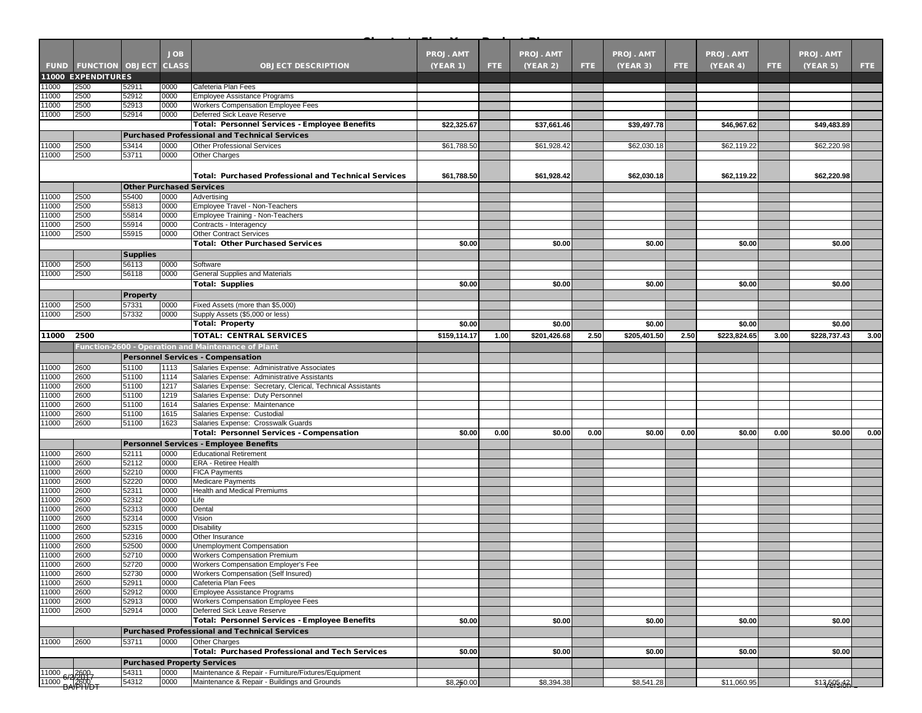|                                              |                                   |                 | <b>JOB</b>   |                                                                                            | <b>PROJ. AMT</b> |      | <b>PROJ. AMT</b> |      | <b>PROJ. AMT</b> |      | <b>PROJ. AMT</b> |      | <b>PROJ. AMT</b> |      |
|----------------------------------------------|-----------------------------------|-----------------|--------------|--------------------------------------------------------------------------------------------|------------------|------|------------------|------|------------------|------|------------------|------|------------------|------|
|                                              | <b>FUND FUNCTION OBJECT CLASS</b> |                 |              | <b>OBJECT DESCRIPTION</b>                                                                  | (YEAR 1)         | FTE. | (YEAR 2)         | FTE: | (YEAR 3)         | FTE. | (YEAR 4)         | FTE. | (YEAR 5)         | FTE. |
|                                              | <b>11000 EXPENDITURES</b>         |                 |              |                                                                                            |                  |      |                  |      |                  |      |                  |      |                  |      |
| 1000                                         | 2500                              | 52911           | 0000         | Cafeteria Plan Fees                                                                        |                  |      |                  |      |                  |      |                  |      |                  |      |
| 1000                                         | 2500                              | 52912           | 0000         | <b>Employee Assistance Programs</b>                                                        |                  |      |                  |      |                  |      |                  |      |                  |      |
| 1000                                         | 2500                              | 52913           | 0000<br>0000 | Workers Compensation Employee Fees                                                         |                  |      |                  |      |                  |      |                  |      |                  |      |
| 1000                                         | 2500                              | 52914           |              | Deferred Sick Leave Reserve<br><b>Total: Personnel Services - Employee Benefits</b>        | \$22,325.67      |      | \$37,661.46      |      | \$39,497.78      |      | \$46,967.62      |      | \$49,483.89      |      |
|                                              |                                   |                 |              |                                                                                            |                  |      |                  |      |                  |      |                  |      |                  |      |
|                                              |                                   | 53414           | 0000         | <b>Purchased Professional and Technical Services</b><br>Other Professional Services        |                  |      |                  |      |                  |      |                  |      |                  |      |
| 1000<br>1000                                 | 2500<br>2500                      | 53711           | 0000         | <b>Other Charges</b>                                                                       | \$61,788.50      |      | \$61,928.42      |      | \$62,030.18      |      | \$62,119.22      |      | \$62,220.98      |      |
|                                              |                                   |                 |              |                                                                                            |                  |      |                  |      |                  |      |                  |      |                  |      |
|                                              |                                   |                 |              | <b>Total: Purchased Professional and Technical Services</b>                                | \$61,788.50      |      | \$61,928.42      |      | \$62,030.18      |      | \$62,119.22      |      | \$62,220.98      |      |
|                                              |                                   |                 |              | <b>Other Purchased Services</b>                                                            |                  |      |                  |      |                  |      |                  |      |                  |      |
| 1000                                         | 2500                              | 55400           | 0000         | Advertising                                                                                |                  |      |                  |      |                  |      |                  |      |                  |      |
| 11000                                        | 2500                              | 55813           | 0000         | Employee Travel - Non-Teachers                                                             |                  |      |                  |      |                  |      |                  |      |                  |      |
| 11000                                        | 2500                              | 55814           | 0000         | Employee Training - Non-Teachers                                                           |                  |      |                  |      |                  |      |                  |      |                  |      |
| 1000                                         | 2500                              | 55914           | 0000         | Contracts - Interagency                                                                    |                  |      |                  |      |                  |      |                  |      |                  |      |
| 1000                                         | 2500                              | 55915           | 0000         | <b>Other Contract Services</b>                                                             |                  |      |                  |      |                  |      |                  |      |                  |      |
|                                              |                                   |                 |              | <b>Total: Other Purchased Services</b>                                                     | \$0.00           |      | \$0.00           |      | \$0.00           |      | \$0.00           |      | \$0.00           |      |
|                                              |                                   | <b>Supplies</b> |              |                                                                                            |                  |      |                  |      |                  |      |                  |      |                  |      |
| 1000                                         | 2500                              | 56113           | 0000         | Software                                                                                   |                  |      |                  |      |                  |      |                  |      |                  |      |
| 11000                                        | 2500                              | 56118           | 0000         | General Supplies and Materials                                                             |                  |      |                  |      |                  |      |                  |      |                  |      |
|                                              |                                   |                 |              | <b>Total: Supplies</b>                                                                     | \$0.00           |      | \$0.00           |      | \$0.00           |      | \$0.00           |      | \$0.00           |      |
|                                              |                                   | <b>Property</b> |              |                                                                                            |                  |      |                  |      |                  |      |                  |      |                  |      |
| 1000                                         | 2500                              | 57331           | 0000<br>0000 | Fixed Assets (more than \$5,000)<br>Supply Assets (\$5,000 or less)                        |                  |      |                  |      |                  |      |                  |      |                  |      |
| 11000                                        | 2500                              | 57332           |              | <b>Total: Property</b>                                                                     | \$0.00           |      | \$0.00           |      | \$0.00           |      | \$0.00           |      | \$0.00           |      |
|                                              | 2500                              |                 |              | <b>TOTAL: CENTRAL SERVICES</b>                                                             | \$159.114.17     |      | \$201,426.68     | 2.50 | \$205,401.50     | 2.50 | \$223,824.65     |      | \$228,737.43     |      |
| 11000                                        |                                   |                 |              |                                                                                            |                  | 1.00 |                  |      |                  |      |                  | 3.00 |                  | 3.00 |
|                                              |                                   |                 |              | <b>Function-2600 - Operation and Maintenance of Plant</b>                                  |                  |      |                  |      |                  |      |                  |      |                  |      |
|                                              |                                   |                 |              | <b>Personnel Services - Compensation</b>                                                   |                  |      |                  |      |                  |      |                  |      |                  |      |
| 11000<br>11000                               | 2600<br>2600                      | 51100<br>51100  | 1113<br>1114 | Salaries Expense: Administrative Associates<br>Salaries Expense: Administrative Assistants |                  |      |                  |      |                  |      |                  |      |                  |      |
| 11000                                        | 2600                              | 51100           | 1217         | Salaries Expense: Secretary, Clerical, Technical Assistants                                |                  |      |                  |      |                  |      |                  |      |                  |      |
| 11000                                        | 2600                              | 51100           | 1219         | Salaries Expense: Duty Personnel                                                           |                  |      |                  |      |                  |      |                  |      |                  |      |
| 1000                                         | 2600                              | 51100           | 1614         | Salaries Expense: Maintenance                                                              |                  |      |                  |      |                  |      |                  |      |                  |      |
| 1000                                         | 2600                              | 51100           | 1615         | Salaries Expense: Custodial                                                                |                  |      |                  |      |                  |      |                  |      |                  |      |
| 11000                                        | 2600                              | 51100           | 1623         | Salaries Expense: Crosswalk Guards                                                         |                  |      |                  |      |                  |      |                  |      |                  |      |
|                                              |                                   |                 |              | <b>Total: Personnel Services - Compensation</b>                                            | \$0.00           | 0.00 | \$0.00           | 0.00 | \$0.00           | 0.00 | \$0.00           | 0.00 | \$0.00           | 0.00 |
|                                              |                                   |                 |              | <b>Personnel Services - Employee Benefits</b>                                              |                  |      |                  |      |                  |      |                  |      |                  |      |
| 11000                                        | 2600                              | 52111           | 0000         | <b>Educational Retirement</b>                                                              |                  |      |                  |      |                  |      |                  |      |                  |      |
| 11000                                        | 2600                              | 52112           | 0000         | <b>ERA - Retiree Health</b>                                                                |                  |      |                  |      |                  |      |                  |      |                  |      |
| 11000<br>11000                               | 2600<br>2600                      | 52210<br>52220  | 0000<br>0000 | <b>FICA Payments</b><br>Medicare Payments                                                  |                  |      |                  |      |                  |      |                  |      |                  |      |
| 1000                                         | 2600                              | 52311           | 0000         | Health and Medical Premiums                                                                |                  |      |                  |      |                  |      |                  |      |                  |      |
| 11000                                        | 2600                              | 52312           | 0000         | Life                                                                                       |                  |      |                  |      |                  |      |                  |      |                  |      |
| 1000                                         | 2600                              | 52313           | 0000         | Dental                                                                                     |                  |      |                  |      |                  |      |                  |      |                  |      |
| 1000                                         | 2600                              | 52314           | 0000         | Vision                                                                                     |                  |      |                  |      |                  |      |                  |      |                  |      |
| 11000                                        | 2600                              | 52315           | 0000         | <b>Disability</b>                                                                          |                  |      |                  |      |                  |      |                  |      |                  |      |
| 1000                                         | 2600                              | 52316           | 0000         | Other Insurance                                                                            |                  |      |                  |      |                  |      |                  |      |                  |      |
| 1000<br>11000                                | 2600<br>2600                      | 52500<br>52710  | 0000<br>0000 | Unemployment Compensation                                                                  |                  |      |                  |      |                  |      |                  |      |                  |      |
| 11000                                        | 2600                              | 52720           | 0000         | <b>Workers Compensation Premium</b><br>Workers Compensation Employer's Fee                 |                  |      |                  |      |                  |      |                  |      |                  |      |
| 11000                                        | 2600                              | 52730           | 0000         | Workers Compensation (Self Insured)                                                        |                  |      |                  |      |                  |      |                  |      |                  |      |
| 11000                                        | 2600                              | 52911           | 0000         | Cafeteria Plan Fees                                                                        |                  |      |                  |      |                  |      |                  |      |                  |      |
| 11000                                        | 2600                              | 52912           | 0000         | <b>Employee Assistance Programs</b>                                                        |                  |      |                  |      |                  |      |                  |      |                  |      |
| 11000                                        | 2600                              | 52913           | 0000         | Workers Compensation Employee Fees                                                         |                  |      |                  |      |                  |      |                  |      |                  |      |
| 1000                                         | 2600                              | 52914           | 0000         | Deferred Sick Leave Reserve                                                                |                  |      |                  |      |                  |      |                  |      |                  |      |
|                                              |                                   |                 |              | <b>Total: Personnel Services - Employee Benefits</b>                                       | \$0.00           |      | \$0.00           |      | \$0.00           |      | \$0.00           |      | \$0.00           |      |
|                                              |                                   |                 |              | <b>Purchased Professional and Technical Services</b>                                       |                  |      |                  |      |                  |      |                  |      |                  |      |
| 11000                                        | 2600                              | 53711           | 0000         | Other Charges                                                                              |                  |      |                  |      |                  |      |                  |      |                  |      |
|                                              |                                   |                 |              | Total: Purchased Professional and Tech Services                                            | \$0.00           |      | \$0.00           |      | \$0.00           |      | \$0.00           |      | \$0.00           |      |
|                                              |                                   |                 |              | <b>Purchased Property Services</b>                                                         |                  |      |                  |      |                  |      |                  |      |                  |      |
| 11000 6/2/2000<br>11000 6/2/2000<br>BA/TH/DT |                                   | 54311           | 0000         | Maintenance & Repair - Furniture/Fixtures/Equipment                                        |                  |      |                  |      |                  |      |                  |      |                  |      |
|                                              |                                   | 54312           | 0000         | Maintenance & Repair - Buildings and Grounds                                               | \$8,250.00       |      | \$8,394.38       |      | \$8,541.28       |      | \$11,060.95      |      | \$13,505,42      |      |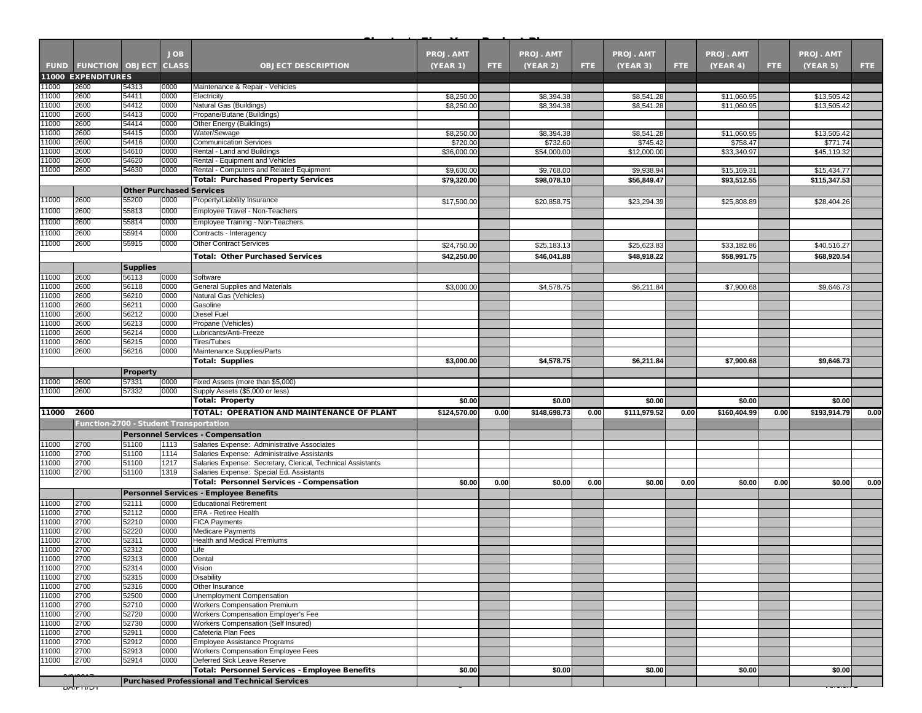|                |                                        |                 | <b>JOB</b>   |                                                                                                            | <b>PROJ. AMT</b>        |            | <b>PROJ. AMT</b>        |      | <b>PROJ. AMT</b>        |      | <b>PROJ. AMT</b>        |      | <b>PROJ. AMT</b>        |      |
|----------------|----------------------------------------|-----------------|--------------|------------------------------------------------------------------------------------------------------------|-------------------------|------------|-------------------------|------|-------------------------|------|-------------------------|------|-------------------------|------|
|                | <b>FUND FUNCTION OBJECT CLASS</b>      |                 |              | <b>OBJECT DESCRIPTION</b>                                                                                  | <b>(YEAR 1)</b>         | <b>FTE</b> | (YEAR 2)                | FTE. | (YEAR 3)                | FTE. | (YEAR 4)                | FTE. | (YEAR 5)                | FTE. |
|                | <b>11000 EXPENDITURES</b>              |                 |              |                                                                                                            |                         |            |                         |      |                         |      |                         |      |                         |      |
| 1000<br>1000   | 2600<br>2600                           | 54313<br>54411  | 0000<br>0000 | Maintenance & Repair - Vehicles<br>Electricity                                                             | \$8,250.00              |            | \$8,394.38              |      | \$8,541.28              |      | \$11,060.95             |      | \$13,505.42             |      |
| 1000           | 2600                                   | 54412           | 0000         | Natural Gas (Buildings)                                                                                    | \$8,250.00              |            | \$8,394.38              |      | \$8,541.28              |      | \$11,060.95             |      | \$13,505.42             |      |
| 1000           | 2600                                   | 54413           | 0000         | Propane/Butane (Buildings)                                                                                 |                         |            |                         |      |                         |      |                         |      |                         |      |
| 11000          | 2600                                   | 54414           | 0000         | Other Energy (Buildings)                                                                                   |                         |            |                         |      |                         |      |                         |      |                         |      |
| 11000          | 2600                                   | 54415           | 0000         | Water/Sewage                                                                                               | \$8,250.00              |            | \$8,394.38              |      | \$8,541.28              |      | \$11,060.95             |      | \$13,505.42             |      |
| 1000<br>1000   | 2600<br>2600                           | 54416<br>54610  | 0000<br>0000 | <b>Communication Services</b><br>Rental - Land and Buildings                                               | \$720.00<br>\$36,000.00 |            | \$732.60<br>\$54,000.00 |      | \$745.42<br>\$12,000.00 |      | \$758.47<br>\$33,340.97 |      | \$771.74<br>\$45,119.32 |      |
| 11000          | 2600                                   | 54620           | 0000         | Rental - Equipment and Vehicles                                                                            |                         |            |                         |      |                         |      |                         |      |                         |      |
| 1000           | 2600                                   | 54630           | 0000         | Rental - Computers and Related Equipment                                                                   | \$9,600.00              |            | \$9,768.00              |      | \$9,938.94              |      | \$15,169.31             |      | \$15,434.77             |      |
|                |                                        |                 |              | <b>Total: Purchased Property Services</b>                                                                  | \$79,320.00             |            | \$98,078.10             |      | \$56,849.47             |      | \$93.512.55             |      | \$115,347.53            |      |
|                |                                        |                 |              | <b>Other Purchased Services</b>                                                                            |                         |            |                         |      |                         |      |                         |      |                         |      |
| 11000          | 2600                                   | 55200           | 0000         | Property/Liability Insurance                                                                               | \$17,500.00             |            | \$20,858.75             |      | \$23,294.39             |      | \$25,808.89             |      | \$28,404.26             |      |
| 11000          | 2600                                   | 55813           | 0000         | Employee Travel - Non-Teachers                                                                             |                         |            |                         |      |                         |      |                         |      |                         |      |
| 11000          | 2600                                   | 55814           | 0000         | Employee Training - Non-Teachers                                                                           |                         |            |                         |      |                         |      |                         |      |                         |      |
| 1000           | 2600                                   | 55914           | 0000         | Contracts - Interagency                                                                                    |                         |            |                         |      |                         |      |                         |      |                         |      |
| 11000          | 2600                                   | 55915           | 0000         | <b>Other Contract Services</b>                                                                             | \$24,750.00             |            | \$25,183.1              |      | \$25,623.83             |      | \$33,182.86             |      | \$40,516.27             |      |
|                |                                        |                 |              | <b>Total: Other Purchased Services</b>                                                                     | \$42,250.00             |            | \$46,041.88             |      | \$48,918.22             |      | \$58,991.75             |      | \$68,920.54             |      |
|                |                                        | <b>Supplies</b> |              |                                                                                                            |                         |            |                         |      |                         |      |                         |      |                         |      |
| 1000           | 2600                                   | 56113           | 0000         | Software                                                                                                   |                         |            |                         |      |                         |      |                         |      |                         |      |
| 11000          | 2600                                   | 56118           | 0000         | General Supplies and Materials                                                                             | \$3,000.00              |            | \$4,578.75              |      | \$6,211.84              |      | \$7,900.68              |      | \$9,646.73              |      |
| 1000           | 2600                                   | 56210           | 0000         | Natural Gas (Vehicles)                                                                                     |                         |            |                         |      |                         |      |                         |      |                         |      |
| 1000           | 2600                                   | 56211           | 0000         | Gasoline                                                                                                   |                         |            |                         |      |                         |      |                         |      |                         |      |
| 11000          | 2600                                   | 56212           | 0000         | <b>Diesel Fuel</b>                                                                                         |                         |            |                         |      |                         |      |                         |      |                         |      |
| 1000<br>11000  | 2600<br>2600                           | 56213<br>56214  | 0000<br>0000 | Propane (Vehicles)<br>Lubricants/Anti-Freeze                                                               |                         |            |                         |      |                         |      |                         |      |                         |      |
| 1000           | 2600                                   | 56215           | 0000         | <b>Tires/Tubes</b>                                                                                         |                         |            |                         |      |                         |      |                         |      |                         |      |
| 1000           | 2600                                   | 56216           | 0000         | Maintenance Supplies/Parts                                                                                 |                         |            |                         |      |                         |      |                         |      |                         |      |
|                |                                        |                 |              | <b>Total: Supplies</b>                                                                                     | \$3,000.00              |            | \$4,578.75              |      | \$6,211.84              |      | \$7,900.68              |      | \$9,646.73              |      |
|                |                                        | <b>Property</b> |              |                                                                                                            |                         |            |                         |      |                         |      |                         |      |                         |      |
| 1000           | 2600                                   | 57331           | 0000         | Fixed Assets (more than \$5,000)                                                                           |                         |            |                         |      |                         |      |                         |      |                         |      |
| 11000          | 2600                                   | 57332           | 0000         | Supply Assets (\$5,000 or less)                                                                            |                         |            |                         |      |                         |      |                         |      |                         |      |
|                |                                        |                 |              | <b>Total: Property</b>                                                                                     | \$0.00                  |            | \$0.00                  |      | \$0.00                  |      | \$0.00                  |      | \$0.00                  |      |
| 11000          | 2600                                   |                 |              | TOTAL: OPERATION AND MAINTENANCE OF PLANT                                                                  | \$124,570.00            | 0.00       | \$148,698.73            | 0.00 | \$111,979.52            | 0.00 | \$160,404.99            | 0.00 | \$193,914.79            | 0.00 |
|                | Function-2700 - Student Transportation |                 |              |                                                                                                            |                         |            |                         |      |                         |      |                         |      |                         |      |
|                |                                        |                 |              | <b>Personnel Services - Compensation</b>                                                                   |                         |            |                         |      |                         |      |                         |      |                         |      |
| 1000           | 2700                                   | 51100           | 1113         | Salaries Expense: Administrative Associates                                                                |                         |            |                         |      |                         |      |                         |      |                         |      |
| 1000<br>1000   | 2700<br>2700                           | 51100<br>51100  | 1114<br>1217 | Salaries Expense: Administrative Assistants<br>Salaries Expense: Secretary, Clerical, Technical Assistants |                         |            |                         |      |                         |      |                         |      |                         |      |
| 1000           | 2700                                   | 51100           | 1319         | Salaries Expense: Special Ed. Assistants                                                                   |                         |            |                         |      |                         |      |                         |      |                         |      |
|                |                                        |                 |              | <b>Total: Personnel Services - Compensation</b>                                                            | \$0.00                  | 0.00       | \$0.00                  | 0.00 | \$0.00                  | 0.00 | \$0.00                  | 0.00 | \$0.00                  | 0.00 |
|                |                                        |                 |              | <b>Personnel Services - Employee Benefits</b>                                                              |                         |            |                         |      |                         |      |                         |      |                         |      |
| 11000          | 2700                                   | 52111           | 0000         | <b>Educational Retirement</b>                                                                              |                         |            |                         |      |                         |      |                         |      |                         |      |
| 1000           | 2700                                   | 52112           | 0000         | ERA - Retiree Health                                                                                       |                         |            |                         |      |                         |      |                         |      |                         |      |
| 11000          | 2700                                   | 52210           | 0000         | <b>FICA Payments</b>                                                                                       |                         |            |                         |      |                         |      |                         |      |                         |      |
| 11000          | 2700                                   | 52220           | 0000         | <b>Medicare Payments</b>                                                                                   |                         |            |                         |      |                         |      |                         |      |                         |      |
| 1000<br>1000   | 2700<br>2700                           | 52311<br>52312  | 0000<br>0000 | Health and Medical Premiums                                                                                |                         |            |                         |      |                         |      |                         |      |                         |      |
| 11000          | 2700                                   | 52313           | 0000         | Life<br>Dental                                                                                             |                         |            |                         |      |                         |      |                         |      |                         |      |
| 11000          | 2700                                   | 52314           | 0000         | Vision                                                                                                     |                         |            |                         |      |                         |      |                         |      |                         |      |
| 11000          | 2700                                   | 52315           | 0000         | <b>Disability</b>                                                                                          |                         |            |                         |      |                         |      |                         |      |                         |      |
| 11000          | 2700                                   | 52316           | 0000         | Other Insurance                                                                                            |                         |            |                         |      |                         |      |                         |      |                         |      |
| 11000          | 2700                                   | 52500           | 0000         | Unemployment Compensation                                                                                  |                         |            |                         |      |                         |      |                         |      |                         |      |
| 11000          | 2700                                   | 52710           | 0000         | <b>Workers Compensation Premium</b>                                                                        |                         |            |                         |      |                         |      |                         |      |                         |      |
| 11000<br>11000 | 2700<br>2700                           | 52720<br>52730  | 0000<br>0000 | Workers Compensation Employer's Fee<br>Workers Compensation (Self Insured)                                 |                         |            |                         |      |                         |      |                         |      |                         |      |
| 11000          | 2700                                   | 52911           | 0000         | Cafeteria Plan Fees                                                                                        |                         |            |                         |      |                         |      |                         |      |                         |      |
| 11000          | 2700                                   | 52912           | 0000         | <b>Employee Assistance Programs</b>                                                                        |                         |            |                         |      |                         |      |                         |      |                         |      |
| 11000          | 2700                                   | 52913           | 0000         | Workers Compensation Employee Fees                                                                         |                         |            |                         |      |                         |      |                         |      |                         |      |
| 11000          | 2700                                   | 52914           | 0000         | Deferred Sick Leave Reserve                                                                                |                         |            |                         |      |                         |      |                         |      |                         |      |
|                |                                        |                 |              | <b>Total: Personnel Services - Employee Benefits</b>                                                       | \$0.00                  |            | \$0.00                  |      | \$0.00                  |      | \$0.00                  |      | \$0.00                  |      |
|                | <u>סחווטים</u>                         |                 |              | <b>Purchased Professional and Technical Services</b>                                                       |                         |            |                         |      |                         |      |                         |      |                         |      |
|                |                                        |                 |              |                                                                                                            |                         |            |                         |      |                         |      |                         |      |                         |      |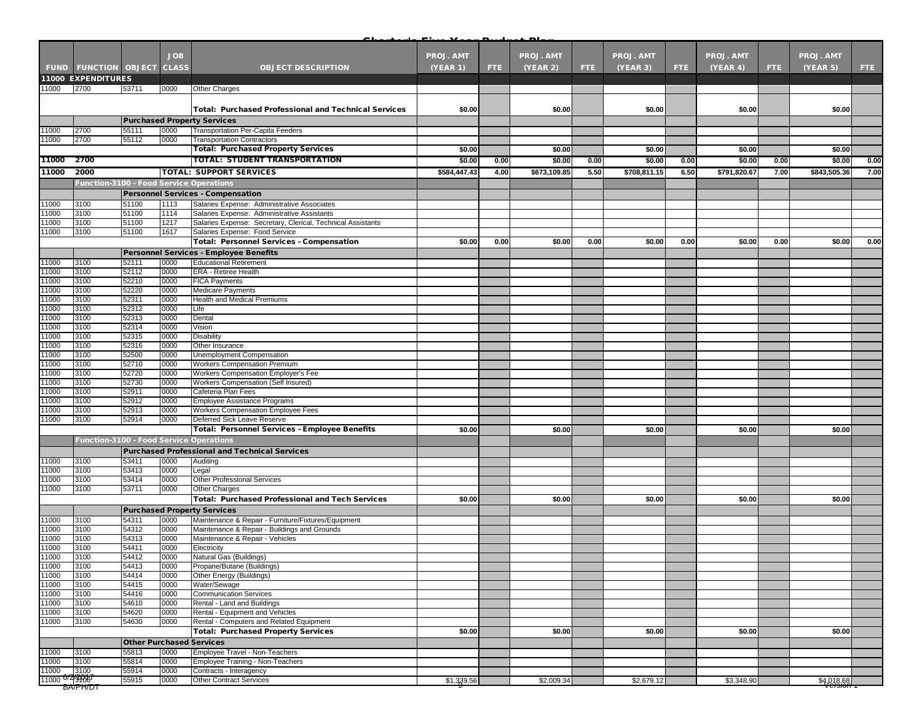| <b>JOB</b><br><b>PROJ. AMT</b><br>PROJ. AMT<br>PROJ. AMT<br><b>PROJ. AMT</b><br><b>PROJ. AMT</b><br><b>FUND FUNCTION OBJECT</b><br><b>CLASS</b><br>(YEAR 3)<br><b>OBJECT DESCRIPTION</b><br>(YEAR 1)<br>FTE.<br>(YEAR 2)<br>FTE.<br>FTE.<br>(YEAR 4)<br>FTE.<br>(YEAR 5)<br>FTE:<br>11000 EXPENDITURES<br>1000<br>2700<br>53711<br>0000<br>Other Charges<br><b>Total: Purchased Professional and Technical Services</b><br>\$0.00<br>\$0.00<br>\$0.00<br>\$0.00<br>\$0.00<br><b>Purchased Property Services</b><br>2700<br>55111<br>0000<br>Transportation Per-Capita Feeders<br>11000<br>2700<br>11000<br>55112<br>0000<br><b>Transportation Contractors</b><br><b>Total: Purchased Property Services</b><br>\$0.00<br>\$0.00<br>\$0.00<br>\$0.00<br>\$0.00<br>TOTAL: STUDENT TRANSPORTATION<br>2700<br>11000<br>\$0.00<br>\$0.00<br>\$0.00<br>0.00<br>\$0.00<br>0.00<br>\$0.00<br>0.00<br>0.00<br>2000<br>11000<br><b>TOTAL: SUPPORT SERVICES</b><br>\$584,447.43<br>\$673,109.85<br>5.50<br>\$708,811.15<br>6.50<br>\$791,820.67<br>7.00<br>\$843,505.36<br>4.00<br>Function-3100 - Food Service Operations<br><b>Personnel Services - Compensation</b><br>1000<br>3100<br>51100<br>1113<br>Salaries Expense: Administrative Associates<br>1114<br>11000<br>3100<br>51100<br>Salaries Expense: Administrative Assistants<br>1000<br>3100<br>51100<br>1217<br>Salaries Expense: Secretary, Clerical, Technical Assistants<br>11000<br>3100<br>51100<br>1617<br>Salaries Expense: Food Service<br><b>Total: Personnel Services - Compensation</b><br>\$0.00<br>0.00<br>\$0.00<br>0.00<br>\$0.00<br>0.00<br>\$0.00<br>0.00<br>\$0.00<br><b>Personnel Services - Employee Benefits</b><br>11000<br>52111<br>0000<br><b>Educational Retirement</b><br>3100<br>11000<br>3100<br>52112<br>0000<br>ERA - Retiree Health<br>3100<br>52210<br>11000<br>0000<br><b>FICA Payments</b><br>11000<br>3100<br>0000<br>52220<br><b>Medicare Payments</b><br>11000<br>3100<br>52311<br>0000<br><b>Health and Medical Premiums</b><br>3100<br>1000<br>52312<br>0000<br>Life<br>11000<br>3100<br>0000<br>52313<br>Dental<br>11000<br>3100<br>52314<br>0000<br>Vision<br>3100<br>1000<br>52315<br>0000<br>Disability<br>11000<br>3100<br>52316<br>0000<br>Other Insurance<br>3100<br>52500<br><b>Unemployment Compensation</b><br>11000<br>0000<br>11000<br>3100<br>52710<br>0000<br><b>Workers Compensation Premium</b><br>11000<br>3100<br>52720<br>0000<br>Workers Compensation Employer's Fee<br>11000<br>3100<br>52730<br>Workers Compensation (Self Insured)<br>0000<br>11000<br>3100<br>52911<br>0000<br>Cafeteria Plan Fees<br>1000<br>3100<br>52912<br>0000<br>Employee Assistance Programs<br>3100<br>52913<br>11000<br>0000<br>Workers Compensation Employee Fees<br>3100<br>11000<br>52914<br>0000<br>Deferred Sick Leave Reserve<br><b>Total: Personnel Services - Employee Benefits</b><br>\$0.00<br>\$0.00<br>\$0.00<br>\$0.00<br>\$0.00<br>Function-3100 - Food Service Operations<br><b>Purchased Professional and Technical Services</b><br>11000<br>53411<br>0000<br>3100<br>Auditing<br>3100<br>53413<br>0000<br>1000<br>Legal<br>53414<br>1000<br>3100<br>0000<br><b>Other Professional Services</b><br>11000<br>3100<br>53711<br>0000<br><b>Other Charges</b><br><b>Total: Purchased Professional and Tech Services</b><br>\$0.00<br>\$0.00<br>\$0.00<br>\$0.00<br>\$0.00<br><b>Purchased Property Services</b><br>Maintenance & Repair - Furniture/Fixtures/Equipment<br>54311<br>0000<br>11000<br>3100<br>11000<br>3100<br>54312<br>0000<br>Maintenance & Repair - Buildings and Grounds<br>1000<br>3100<br>54313<br>0000<br>Maintenance & Repair - Vehicles<br>11000<br>3100<br>54411<br>0000<br>Electricity<br>11000<br>3100<br>54412<br>0000<br>Natural Gas (Buildings)<br>11000<br>54413<br>3100<br>0000<br>Propane/Butane (Buildings)<br>54414<br>11000<br>3100<br>0000<br>Other Energy (Buildings)<br>54415<br>0000<br>11000<br>3100<br>Water/Sewage<br>11000<br>3100<br>54416<br>0000<br><b>Communication Services</b><br>3100<br>Rental - Land and Buildings<br>54610<br>0000<br>11000<br>1000<br>3100<br>54620<br>0000<br>Rental - Equipment and Vehicles<br>3100<br>Rental - Computers and Related Equipment<br>11000<br>54630<br>0000<br><b>Total: Purchased Property Services</b><br>\$0.00<br>\$0.00<br>\$0.00<br>\$0.00<br>\$0.00<br><b>Other Purchased Services</b><br>0000<br>Employee Travel - Non-Teachers<br>3100<br>55813<br>11000 |  |  |  | D. |  |  |  |      |
|--------------------------------------------------------------------------------------------------------------------------------------------------------------------------------------------------------------------------------------------------------------------------------------------------------------------------------------------------------------------------------------------------------------------------------------------------------------------------------------------------------------------------------------------------------------------------------------------------------------------------------------------------------------------------------------------------------------------------------------------------------------------------------------------------------------------------------------------------------------------------------------------------------------------------------------------------------------------------------------------------------------------------------------------------------------------------------------------------------------------------------------------------------------------------------------------------------------------------------------------------------------------------------------------------------------------------------------------------------------------------------------------------------------------------------------------------------------------------------------------------------------------------------------------------------------------------------------------------------------------------------------------------------------------------------------------------------------------------------------------------------------------------------------------------------------------------------------------------------------------------------------------------------------------------------------------------------------------------------------------------------------------------------------------------------------------------------------------------------------------------------------------------------------------------------------------------------------------------------------------------------------------------------------------------------------------------------------------------------------------------------------------------------------------------------------------------------------------------------------------------------------------------------------------------------------------------------------------------------------------------------------------------------------------------------------------------------------------------------------------------------------------------------------------------------------------------------------------------------------------------------------------------------------------------------------------------------------------------------------------------------------------------------------------------------------------------------------------------------------------------------------------------------------------------------------------------------------------------------------------------------------------------------------------------------------------------------------------------------------------------------------------------------------------------------------------------------------------------------------------------------------------------------------------------------------------------------------------------------------------------------------------------------------------------------------------------------------------------------------------------------------------------------------------------------------------------------------------------------------------------------------------------------------------------------------------------------------------------------------------------------------------------------------------------------------------------------------------------------------------------------------------------------------------------------------------------------------------------------------------------------------------------------------------------------------------------------------------------------------------------------------------------------------------------------------------------------------|--|--|--|----|--|--|--|------|
|                                                                                                                                                                                                                                                                                                                                                                                                                                                                                                                                                                                                                                                                                                                                                                                                                                                                                                                                                                                                                                                                                                                                                                                                                                                                                                                                                                                                                                                                                                                                                                                                                                                                                                                                                                                                                                                                                                                                                                                                                                                                                                                                                                                                                                                                                                                                                                                                                                                                                                                                                                                                                                                                                                                                                                                                                                                                                                                                                                                                                                                                                                                                                                                                                                                                                                                                                                                                                                                                                                                                                                                                                                                                                                                                                                                                                                                                                                                                                                                                                                                                                                                                                                                                                                                                                                                                                                                                                                                              |  |  |  |    |  |  |  |      |
|                                                                                                                                                                                                                                                                                                                                                                                                                                                                                                                                                                                                                                                                                                                                                                                                                                                                                                                                                                                                                                                                                                                                                                                                                                                                                                                                                                                                                                                                                                                                                                                                                                                                                                                                                                                                                                                                                                                                                                                                                                                                                                                                                                                                                                                                                                                                                                                                                                                                                                                                                                                                                                                                                                                                                                                                                                                                                                                                                                                                                                                                                                                                                                                                                                                                                                                                                                                                                                                                                                                                                                                                                                                                                                                                                                                                                                                                                                                                                                                                                                                                                                                                                                                                                                                                                                                                                                                                                                                              |  |  |  |    |  |  |  |      |
|                                                                                                                                                                                                                                                                                                                                                                                                                                                                                                                                                                                                                                                                                                                                                                                                                                                                                                                                                                                                                                                                                                                                                                                                                                                                                                                                                                                                                                                                                                                                                                                                                                                                                                                                                                                                                                                                                                                                                                                                                                                                                                                                                                                                                                                                                                                                                                                                                                                                                                                                                                                                                                                                                                                                                                                                                                                                                                                                                                                                                                                                                                                                                                                                                                                                                                                                                                                                                                                                                                                                                                                                                                                                                                                                                                                                                                                                                                                                                                                                                                                                                                                                                                                                                                                                                                                                                                                                                                                              |  |  |  |    |  |  |  |      |
|                                                                                                                                                                                                                                                                                                                                                                                                                                                                                                                                                                                                                                                                                                                                                                                                                                                                                                                                                                                                                                                                                                                                                                                                                                                                                                                                                                                                                                                                                                                                                                                                                                                                                                                                                                                                                                                                                                                                                                                                                                                                                                                                                                                                                                                                                                                                                                                                                                                                                                                                                                                                                                                                                                                                                                                                                                                                                                                                                                                                                                                                                                                                                                                                                                                                                                                                                                                                                                                                                                                                                                                                                                                                                                                                                                                                                                                                                                                                                                                                                                                                                                                                                                                                                                                                                                                                                                                                                                                              |  |  |  |    |  |  |  |      |
|                                                                                                                                                                                                                                                                                                                                                                                                                                                                                                                                                                                                                                                                                                                                                                                                                                                                                                                                                                                                                                                                                                                                                                                                                                                                                                                                                                                                                                                                                                                                                                                                                                                                                                                                                                                                                                                                                                                                                                                                                                                                                                                                                                                                                                                                                                                                                                                                                                                                                                                                                                                                                                                                                                                                                                                                                                                                                                                                                                                                                                                                                                                                                                                                                                                                                                                                                                                                                                                                                                                                                                                                                                                                                                                                                                                                                                                                                                                                                                                                                                                                                                                                                                                                                                                                                                                                                                                                                                                              |  |  |  |    |  |  |  |      |
|                                                                                                                                                                                                                                                                                                                                                                                                                                                                                                                                                                                                                                                                                                                                                                                                                                                                                                                                                                                                                                                                                                                                                                                                                                                                                                                                                                                                                                                                                                                                                                                                                                                                                                                                                                                                                                                                                                                                                                                                                                                                                                                                                                                                                                                                                                                                                                                                                                                                                                                                                                                                                                                                                                                                                                                                                                                                                                                                                                                                                                                                                                                                                                                                                                                                                                                                                                                                                                                                                                                                                                                                                                                                                                                                                                                                                                                                                                                                                                                                                                                                                                                                                                                                                                                                                                                                                                                                                                                              |  |  |  |    |  |  |  |      |
|                                                                                                                                                                                                                                                                                                                                                                                                                                                                                                                                                                                                                                                                                                                                                                                                                                                                                                                                                                                                                                                                                                                                                                                                                                                                                                                                                                                                                                                                                                                                                                                                                                                                                                                                                                                                                                                                                                                                                                                                                                                                                                                                                                                                                                                                                                                                                                                                                                                                                                                                                                                                                                                                                                                                                                                                                                                                                                                                                                                                                                                                                                                                                                                                                                                                                                                                                                                                                                                                                                                                                                                                                                                                                                                                                                                                                                                                                                                                                                                                                                                                                                                                                                                                                                                                                                                                                                                                                                                              |  |  |  |    |  |  |  |      |
|                                                                                                                                                                                                                                                                                                                                                                                                                                                                                                                                                                                                                                                                                                                                                                                                                                                                                                                                                                                                                                                                                                                                                                                                                                                                                                                                                                                                                                                                                                                                                                                                                                                                                                                                                                                                                                                                                                                                                                                                                                                                                                                                                                                                                                                                                                                                                                                                                                                                                                                                                                                                                                                                                                                                                                                                                                                                                                                                                                                                                                                                                                                                                                                                                                                                                                                                                                                                                                                                                                                                                                                                                                                                                                                                                                                                                                                                                                                                                                                                                                                                                                                                                                                                                                                                                                                                                                                                                                                              |  |  |  |    |  |  |  |      |
|                                                                                                                                                                                                                                                                                                                                                                                                                                                                                                                                                                                                                                                                                                                                                                                                                                                                                                                                                                                                                                                                                                                                                                                                                                                                                                                                                                                                                                                                                                                                                                                                                                                                                                                                                                                                                                                                                                                                                                                                                                                                                                                                                                                                                                                                                                                                                                                                                                                                                                                                                                                                                                                                                                                                                                                                                                                                                                                                                                                                                                                                                                                                                                                                                                                                                                                                                                                                                                                                                                                                                                                                                                                                                                                                                                                                                                                                                                                                                                                                                                                                                                                                                                                                                                                                                                                                                                                                                                                              |  |  |  |    |  |  |  |      |
|                                                                                                                                                                                                                                                                                                                                                                                                                                                                                                                                                                                                                                                                                                                                                                                                                                                                                                                                                                                                                                                                                                                                                                                                                                                                                                                                                                                                                                                                                                                                                                                                                                                                                                                                                                                                                                                                                                                                                                                                                                                                                                                                                                                                                                                                                                                                                                                                                                                                                                                                                                                                                                                                                                                                                                                                                                                                                                                                                                                                                                                                                                                                                                                                                                                                                                                                                                                                                                                                                                                                                                                                                                                                                                                                                                                                                                                                                                                                                                                                                                                                                                                                                                                                                                                                                                                                                                                                                                                              |  |  |  |    |  |  |  |      |
|                                                                                                                                                                                                                                                                                                                                                                                                                                                                                                                                                                                                                                                                                                                                                                                                                                                                                                                                                                                                                                                                                                                                                                                                                                                                                                                                                                                                                                                                                                                                                                                                                                                                                                                                                                                                                                                                                                                                                                                                                                                                                                                                                                                                                                                                                                                                                                                                                                                                                                                                                                                                                                                                                                                                                                                                                                                                                                                                                                                                                                                                                                                                                                                                                                                                                                                                                                                                                                                                                                                                                                                                                                                                                                                                                                                                                                                                                                                                                                                                                                                                                                                                                                                                                                                                                                                                                                                                                                                              |  |  |  |    |  |  |  | 0.00 |
|                                                                                                                                                                                                                                                                                                                                                                                                                                                                                                                                                                                                                                                                                                                                                                                                                                                                                                                                                                                                                                                                                                                                                                                                                                                                                                                                                                                                                                                                                                                                                                                                                                                                                                                                                                                                                                                                                                                                                                                                                                                                                                                                                                                                                                                                                                                                                                                                                                                                                                                                                                                                                                                                                                                                                                                                                                                                                                                                                                                                                                                                                                                                                                                                                                                                                                                                                                                                                                                                                                                                                                                                                                                                                                                                                                                                                                                                                                                                                                                                                                                                                                                                                                                                                                                                                                                                                                                                                                                              |  |  |  |    |  |  |  | 7.00 |
|                                                                                                                                                                                                                                                                                                                                                                                                                                                                                                                                                                                                                                                                                                                                                                                                                                                                                                                                                                                                                                                                                                                                                                                                                                                                                                                                                                                                                                                                                                                                                                                                                                                                                                                                                                                                                                                                                                                                                                                                                                                                                                                                                                                                                                                                                                                                                                                                                                                                                                                                                                                                                                                                                                                                                                                                                                                                                                                                                                                                                                                                                                                                                                                                                                                                                                                                                                                                                                                                                                                                                                                                                                                                                                                                                                                                                                                                                                                                                                                                                                                                                                                                                                                                                                                                                                                                                                                                                                                              |  |  |  |    |  |  |  |      |
|                                                                                                                                                                                                                                                                                                                                                                                                                                                                                                                                                                                                                                                                                                                                                                                                                                                                                                                                                                                                                                                                                                                                                                                                                                                                                                                                                                                                                                                                                                                                                                                                                                                                                                                                                                                                                                                                                                                                                                                                                                                                                                                                                                                                                                                                                                                                                                                                                                                                                                                                                                                                                                                                                                                                                                                                                                                                                                                                                                                                                                                                                                                                                                                                                                                                                                                                                                                                                                                                                                                                                                                                                                                                                                                                                                                                                                                                                                                                                                                                                                                                                                                                                                                                                                                                                                                                                                                                                                                              |  |  |  |    |  |  |  |      |
|                                                                                                                                                                                                                                                                                                                                                                                                                                                                                                                                                                                                                                                                                                                                                                                                                                                                                                                                                                                                                                                                                                                                                                                                                                                                                                                                                                                                                                                                                                                                                                                                                                                                                                                                                                                                                                                                                                                                                                                                                                                                                                                                                                                                                                                                                                                                                                                                                                                                                                                                                                                                                                                                                                                                                                                                                                                                                                                                                                                                                                                                                                                                                                                                                                                                                                                                                                                                                                                                                                                                                                                                                                                                                                                                                                                                                                                                                                                                                                                                                                                                                                                                                                                                                                                                                                                                                                                                                                                              |  |  |  |    |  |  |  |      |
|                                                                                                                                                                                                                                                                                                                                                                                                                                                                                                                                                                                                                                                                                                                                                                                                                                                                                                                                                                                                                                                                                                                                                                                                                                                                                                                                                                                                                                                                                                                                                                                                                                                                                                                                                                                                                                                                                                                                                                                                                                                                                                                                                                                                                                                                                                                                                                                                                                                                                                                                                                                                                                                                                                                                                                                                                                                                                                                                                                                                                                                                                                                                                                                                                                                                                                                                                                                                                                                                                                                                                                                                                                                                                                                                                                                                                                                                                                                                                                                                                                                                                                                                                                                                                                                                                                                                                                                                                                                              |  |  |  |    |  |  |  |      |
|                                                                                                                                                                                                                                                                                                                                                                                                                                                                                                                                                                                                                                                                                                                                                                                                                                                                                                                                                                                                                                                                                                                                                                                                                                                                                                                                                                                                                                                                                                                                                                                                                                                                                                                                                                                                                                                                                                                                                                                                                                                                                                                                                                                                                                                                                                                                                                                                                                                                                                                                                                                                                                                                                                                                                                                                                                                                                                                                                                                                                                                                                                                                                                                                                                                                                                                                                                                                                                                                                                                                                                                                                                                                                                                                                                                                                                                                                                                                                                                                                                                                                                                                                                                                                                                                                                                                                                                                                                                              |  |  |  |    |  |  |  |      |
|                                                                                                                                                                                                                                                                                                                                                                                                                                                                                                                                                                                                                                                                                                                                                                                                                                                                                                                                                                                                                                                                                                                                                                                                                                                                                                                                                                                                                                                                                                                                                                                                                                                                                                                                                                                                                                                                                                                                                                                                                                                                                                                                                                                                                                                                                                                                                                                                                                                                                                                                                                                                                                                                                                                                                                                                                                                                                                                                                                                                                                                                                                                                                                                                                                                                                                                                                                                                                                                                                                                                                                                                                                                                                                                                                                                                                                                                                                                                                                                                                                                                                                                                                                                                                                                                                                                                                                                                                                                              |  |  |  |    |  |  |  |      |
|                                                                                                                                                                                                                                                                                                                                                                                                                                                                                                                                                                                                                                                                                                                                                                                                                                                                                                                                                                                                                                                                                                                                                                                                                                                                                                                                                                                                                                                                                                                                                                                                                                                                                                                                                                                                                                                                                                                                                                                                                                                                                                                                                                                                                                                                                                                                                                                                                                                                                                                                                                                                                                                                                                                                                                                                                                                                                                                                                                                                                                                                                                                                                                                                                                                                                                                                                                                                                                                                                                                                                                                                                                                                                                                                                                                                                                                                                                                                                                                                                                                                                                                                                                                                                                                                                                                                                                                                                                                              |  |  |  |    |  |  |  | 0.00 |
|                                                                                                                                                                                                                                                                                                                                                                                                                                                                                                                                                                                                                                                                                                                                                                                                                                                                                                                                                                                                                                                                                                                                                                                                                                                                                                                                                                                                                                                                                                                                                                                                                                                                                                                                                                                                                                                                                                                                                                                                                                                                                                                                                                                                                                                                                                                                                                                                                                                                                                                                                                                                                                                                                                                                                                                                                                                                                                                                                                                                                                                                                                                                                                                                                                                                                                                                                                                                                                                                                                                                                                                                                                                                                                                                                                                                                                                                                                                                                                                                                                                                                                                                                                                                                                                                                                                                                                                                                                                              |  |  |  |    |  |  |  |      |
|                                                                                                                                                                                                                                                                                                                                                                                                                                                                                                                                                                                                                                                                                                                                                                                                                                                                                                                                                                                                                                                                                                                                                                                                                                                                                                                                                                                                                                                                                                                                                                                                                                                                                                                                                                                                                                                                                                                                                                                                                                                                                                                                                                                                                                                                                                                                                                                                                                                                                                                                                                                                                                                                                                                                                                                                                                                                                                                                                                                                                                                                                                                                                                                                                                                                                                                                                                                                                                                                                                                                                                                                                                                                                                                                                                                                                                                                                                                                                                                                                                                                                                                                                                                                                                                                                                                                                                                                                                                              |  |  |  |    |  |  |  |      |
|                                                                                                                                                                                                                                                                                                                                                                                                                                                                                                                                                                                                                                                                                                                                                                                                                                                                                                                                                                                                                                                                                                                                                                                                                                                                                                                                                                                                                                                                                                                                                                                                                                                                                                                                                                                                                                                                                                                                                                                                                                                                                                                                                                                                                                                                                                                                                                                                                                                                                                                                                                                                                                                                                                                                                                                                                                                                                                                                                                                                                                                                                                                                                                                                                                                                                                                                                                                                                                                                                                                                                                                                                                                                                                                                                                                                                                                                                                                                                                                                                                                                                                                                                                                                                                                                                                                                                                                                                                                              |  |  |  |    |  |  |  |      |
|                                                                                                                                                                                                                                                                                                                                                                                                                                                                                                                                                                                                                                                                                                                                                                                                                                                                                                                                                                                                                                                                                                                                                                                                                                                                                                                                                                                                                                                                                                                                                                                                                                                                                                                                                                                                                                                                                                                                                                                                                                                                                                                                                                                                                                                                                                                                                                                                                                                                                                                                                                                                                                                                                                                                                                                                                                                                                                                                                                                                                                                                                                                                                                                                                                                                                                                                                                                                                                                                                                                                                                                                                                                                                                                                                                                                                                                                                                                                                                                                                                                                                                                                                                                                                                                                                                                                                                                                                                                              |  |  |  |    |  |  |  |      |
|                                                                                                                                                                                                                                                                                                                                                                                                                                                                                                                                                                                                                                                                                                                                                                                                                                                                                                                                                                                                                                                                                                                                                                                                                                                                                                                                                                                                                                                                                                                                                                                                                                                                                                                                                                                                                                                                                                                                                                                                                                                                                                                                                                                                                                                                                                                                                                                                                                                                                                                                                                                                                                                                                                                                                                                                                                                                                                                                                                                                                                                                                                                                                                                                                                                                                                                                                                                                                                                                                                                                                                                                                                                                                                                                                                                                                                                                                                                                                                                                                                                                                                                                                                                                                                                                                                                                                                                                                                                              |  |  |  |    |  |  |  |      |
|                                                                                                                                                                                                                                                                                                                                                                                                                                                                                                                                                                                                                                                                                                                                                                                                                                                                                                                                                                                                                                                                                                                                                                                                                                                                                                                                                                                                                                                                                                                                                                                                                                                                                                                                                                                                                                                                                                                                                                                                                                                                                                                                                                                                                                                                                                                                                                                                                                                                                                                                                                                                                                                                                                                                                                                                                                                                                                                                                                                                                                                                                                                                                                                                                                                                                                                                                                                                                                                                                                                                                                                                                                                                                                                                                                                                                                                                                                                                                                                                                                                                                                                                                                                                                                                                                                                                                                                                                                                              |  |  |  |    |  |  |  |      |
|                                                                                                                                                                                                                                                                                                                                                                                                                                                                                                                                                                                                                                                                                                                                                                                                                                                                                                                                                                                                                                                                                                                                                                                                                                                                                                                                                                                                                                                                                                                                                                                                                                                                                                                                                                                                                                                                                                                                                                                                                                                                                                                                                                                                                                                                                                                                                                                                                                                                                                                                                                                                                                                                                                                                                                                                                                                                                                                                                                                                                                                                                                                                                                                                                                                                                                                                                                                                                                                                                                                                                                                                                                                                                                                                                                                                                                                                                                                                                                                                                                                                                                                                                                                                                                                                                                                                                                                                                                                              |  |  |  |    |  |  |  |      |
|                                                                                                                                                                                                                                                                                                                                                                                                                                                                                                                                                                                                                                                                                                                                                                                                                                                                                                                                                                                                                                                                                                                                                                                                                                                                                                                                                                                                                                                                                                                                                                                                                                                                                                                                                                                                                                                                                                                                                                                                                                                                                                                                                                                                                                                                                                                                                                                                                                                                                                                                                                                                                                                                                                                                                                                                                                                                                                                                                                                                                                                                                                                                                                                                                                                                                                                                                                                                                                                                                                                                                                                                                                                                                                                                                                                                                                                                                                                                                                                                                                                                                                                                                                                                                                                                                                                                                                                                                                                              |  |  |  |    |  |  |  |      |
|                                                                                                                                                                                                                                                                                                                                                                                                                                                                                                                                                                                                                                                                                                                                                                                                                                                                                                                                                                                                                                                                                                                                                                                                                                                                                                                                                                                                                                                                                                                                                                                                                                                                                                                                                                                                                                                                                                                                                                                                                                                                                                                                                                                                                                                                                                                                                                                                                                                                                                                                                                                                                                                                                                                                                                                                                                                                                                                                                                                                                                                                                                                                                                                                                                                                                                                                                                                                                                                                                                                                                                                                                                                                                                                                                                                                                                                                                                                                                                                                                                                                                                                                                                                                                                                                                                                                                                                                                                                              |  |  |  |    |  |  |  |      |
|                                                                                                                                                                                                                                                                                                                                                                                                                                                                                                                                                                                                                                                                                                                                                                                                                                                                                                                                                                                                                                                                                                                                                                                                                                                                                                                                                                                                                                                                                                                                                                                                                                                                                                                                                                                                                                                                                                                                                                                                                                                                                                                                                                                                                                                                                                                                                                                                                                                                                                                                                                                                                                                                                                                                                                                                                                                                                                                                                                                                                                                                                                                                                                                                                                                                                                                                                                                                                                                                                                                                                                                                                                                                                                                                                                                                                                                                                                                                                                                                                                                                                                                                                                                                                                                                                                                                                                                                                                                              |  |  |  |    |  |  |  |      |
|                                                                                                                                                                                                                                                                                                                                                                                                                                                                                                                                                                                                                                                                                                                                                                                                                                                                                                                                                                                                                                                                                                                                                                                                                                                                                                                                                                                                                                                                                                                                                                                                                                                                                                                                                                                                                                                                                                                                                                                                                                                                                                                                                                                                                                                                                                                                                                                                                                                                                                                                                                                                                                                                                                                                                                                                                                                                                                                                                                                                                                                                                                                                                                                                                                                                                                                                                                                                                                                                                                                                                                                                                                                                                                                                                                                                                                                                                                                                                                                                                                                                                                                                                                                                                                                                                                                                                                                                                                                              |  |  |  |    |  |  |  |      |
|                                                                                                                                                                                                                                                                                                                                                                                                                                                                                                                                                                                                                                                                                                                                                                                                                                                                                                                                                                                                                                                                                                                                                                                                                                                                                                                                                                                                                                                                                                                                                                                                                                                                                                                                                                                                                                                                                                                                                                                                                                                                                                                                                                                                                                                                                                                                                                                                                                                                                                                                                                                                                                                                                                                                                                                                                                                                                                                                                                                                                                                                                                                                                                                                                                                                                                                                                                                                                                                                                                                                                                                                                                                                                                                                                                                                                                                                                                                                                                                                                                                                                                                                                                                                                                                                                                                                                                                                                                                              |  |  |  |    |  |  |  |      |
|                                                                                                                                                                                                                                                                                                                                                                                                                                                                                                                                                                                                                                                                                                                                                                                                                                                                                                                                                                                                                                                                                                                                                                                                                                                                                                                                                                                                                                                                                                                                                                                                                                                                                                                                                                                                                                                                                                                                                                                                                                                                                                                                                                                                                                                                                                                                                                                                                                                                                                                                                                                                                                                                                                                                                                                                                                                                                                                                                                                                                                                                                                                                                                                                                                                                                                                                                                                                                                                                                                                                                                                                                                                                                                                                                                                                                                                                                                                                                                                                                                                                                                                                                                                                                                                                                                                                                                                                                                                              |  |  |  |    |  |  |  |      |
|                                                                                                                                                                                                                                                                                                                                                                                                                                                                                                                                                                                                                                                                                                                                                                                                                                                                                                                                                                                                                                                                                                                                                                                                                                                                                                                                                                                                                                                                                                                                                                                                                                                                                                                                                                                                                                                                                                                                                                                                                                                                                                                                                                                                                                                                                                                                                                                                                                                                                                                                                                                                                                                                                                                                                                                                                                                                                                                                                                                                                                                                                                                                                                                                                                                                                                                                                                                                                                                                                                                                                                                                                                                                                                                                                                                                                                                                                                                                                                                                                                                                                                                                                                                                                                                                                                                                                                                                                                                              |  |  |  |    |  |  |  |      |
|                                                                                                                                                                                                                                                                                                                                                                                                                                                                                                                                                                                                                                                                                                                                                                                                                                                                                                                                                                                                                                                                                                                                                                                                                                                                                                                                                                                                                                                                                                                                                                                                                                                                                                                                                                                                                                                                                                                                                                                                                                                                                                                                                                                                                                                                                                                                                                                                                                                                                                                                                                                                                                                                                                                                                                                                                                                                                                                                                                                                                                                                                                                                                                                                                                                                                                                                                                                                                                                                                                                                                                                                                                                                                                                                                                                                                                                                                                                                                                                                                                                                                                                                                                                                                                                                                                                                                                                                                                                              |  |  |  |    |  |  |  |      |
|                                                                                                                                                                                                                                                                                                                                                                                                                                                                                                                                                                                                                                                                                                                                                                                                                                                                                                                                                                                                                                                                                                                                                                                                                                                                                                                                                                                                                                                                                                                                                                                                                                                                                                                                                                                                                                                                                                                                                                                                                                                                                                                                                                                                                                                                                                                                                                                                                                                                                                                                                                                                                                                                                                                                                                                                                                                                                                                                                                                                                                                                                                                                                                                                                                                                                                                                                                                                                                                                                                                                                                                                                                                                                                                                                                                                                                                                                                                                                                                                                                                                                                                                                                                                                                                                                                                                                                                                                                                              |  |  |  |    |  |  |  |      |
|                                                                                                                                                                                                                                                                                                                                                                                                                                                                                                                                                                                                                                                                                                                                                                                                                                                                                                                                                                                                                                                                                                                                                                                                                                                                                                                                                                                                                                                                                                                                                                                                                                                                                                                                                                                                                                                                                                                                                                                                                                                                                                                                                                                                                                                                                                                                                                                                                                                                                                                                                                                                                                                                                                                                                                                                                                                                                                                                                                                                                                                                                                                                                                                                                                                                                                                                                                                                                                                                                                                                                                                                                                                                                                                                                                                                                                                                                                                                                                                                                                                                                                                                                                                                                                                                                                                                                                                                                                                              |  |  |  |    |  |  |  |      |
|                                                                                                                                                                                                                                                                                                                                                                                                                                                                                                                                                                                                                                                                                                                                                                                                                                                                                                                                                                                                                                                                                                                                                                                                                                                                                                                                                                                                                                                                                                                                                                                                                                                                                                                                                                                                                                                                                                                                                                                                                                                                                                                                                                                                                                                                                                                                                                                                                                                                                                                                                                                                                                                                                                                                                                                                                                                                                                                                                                                                                                                                                                                                                                                                                                                                                                                                                                                                                                                                                                                                                                                                                                                                                                                                                                                                                                                                                                                                                                                                                                                                                                                                                                                                                                                                                                                                                                                                                                                              |  |  |  |    |  |  |  |      |
|                                                                                                                                                                                                                                                                                                                                                                                                                                                                                                                                                                                                                                                                                                                                                                                                                                                                                                                                                                                                                                                                                                                                                                                                                                                                                                                                                                                                                                                                                                                                                                                                                                                                                                                                                                                                                                                                                                                                                                                                                                                                                                                                                                                                                                                                                                                                                                                                                                                                                                                                                                                                                                                                                                                                                                                                                                                                                                                                                                                                                                                                                                                                                                                                                                                                                                                                                                                                                                                                                                                                                                                                                                                                                                                                                                                                                                                                                                                                                                                                                                                                                                                                                                                                                                                                                                                                                                                                                                                              |  |  |  |    |  |  |  |      |
|                                                                                                                                                                                                                                                                                                                                                                                                                                                                                                                                                                                                                                                                                                                                                                                                                                                                                                                                                                                                                                                                                                                                                                                                                                                                                                                                                                                                                                                                                                                                                                                                                                                                                                                                                                                                                                                                                                                                                                                                                                                                                                                                                                                                                                                                                                                                                                                                                                                                                                                                                                                                                                                                                                                                                                                                                                                                                                                                                                                                                                                                                                                                                                                                                                                                                                                                                                                                                                                                                                                                                                                                                                                                                                                                                                                                                                                                                                                                                                                                                                                                                                                                                                                                                                                                                                                                                                                                                                                              |  |  |  |    |  |  |  |      |
|                                                                                                                                                                                                                                                                                                                                                                                                                                                                                                                                                                                                                                                                                                                                                                                                                                                                                                                                                                                                                                                                                                                                                                                                                                                                                                                                                                                                                                                                                                                                                                                                                                                                                                                                                                                                                                                                                                                                                                                                                                                                                                                                                                                                                                                                                                                                                                                                                                                                                                                                                                                                                                                                                                                                                                                                                                                                                                                                                                                                                                                                                                                                                                                                                                                                                                                                                                                                                                                                                                                                                                                                                                                                                                                                                                                                                                                                                                                                                                                                                                                                                                                                                                                                                                                                                                                                                                                                                                                              |  |  |  |    |  |  |  |      |
|                                                                                                                                                                                                                                                                                                                                                                                                                                                                                                                                                                                                                                                                                                                                                                                                                                                                                                                                                                                                                                                                                                                                                                                                                                                                                                                                                                                                                                                                                                                                                                                                                                                                                                                                                                                                                                                                                                                                                                                                                                                                                                                                                                                                                                                                                                                                                                                                                                                                                                                                                                                                                                                                                                                                                                                                                                                                                                                                                                                                                                                                                                                                                                                                                                                                                                                                                                                                                                                                                                                                                                                                                                                                                                                                                                                                                                                                                                                                                                                                                                                                                                                                                                                                                                                                                                                                                                                                                                                              |  |  |  |    |  |  |  |      |
|                                                                                                                                                                                                                                                                                                                                                                                                                                                                                                                                                                                                                                                                                                                                                                                                                                                                                                                                                                                                                                                                                                                                                                                                                                                                                                                                                                                                                                                                                                                                                                                                                                                                                                                                                                                                                                                                                                                                                                                                                                                                                                                                                                                                                                                                                                                                                                                                                                                                                                                                                                                                                                                                                                                                                                                                                                                                                                                                                                                                                                                                                                                                                                                                                                                                                                                                                                                                                                                                                                                                                                                                                                                                                                                                                                                                                                                                                                                                                                                                                                                                                                                                                                                                                                                                                                                                                                                                                                                              |  |  |  |    |  |  |  |      |
|                                                                                                                                                                                                                                                                                                                                                                                                                                                                                                                                                                                                                                                                                                                                                                                                                                                                                                                                                                                                                                                                                                                                                                                                                                                                                                                                                                                                                                                                                                                                                                                                                                                                                                                                                                                                                                                                                                                                                                                                                                                                                                                                                                                                                                                                                                                                                                                                                                                                                                                                                                                                                                                                                                                                                                                                                                                                                                                                                                                                                                                                                                                                                                                                                                                                                                                                                                                                                                                                                                                                                                                                                                                                                                                                                                                                                                                                                                                                                                                                                                                                                                                                                                                                                                                                                                                                                                                                                                                              |  |  |  |    |  |  |  |      |
|                                                                                                                                                                                                                                                                                                                                                                                                                                                                                                                                                                                                                                                                                                                                                                                                                                                                                                                                                                                                                                                                                                                                                                                                                                                                                                                                                                                                                                                                                                                                                                                                                                                                                                                                                                                                                                                                                                                                                                                                                                                                                                                                                                                                                                                                                                                                                                                                                                                                                                                                                                                                                                                                                                                                                                                                                                                                                                                                                                                                                                                                                                                                                                                                                                                                                                                                                                                                                                                                                                                                                                                                                                                                                                                                                                                                                                                                                                                                                                                                                                                                                                                                                                                                                                                                                                                                                                                                                                                              |  |  |  |    |  |  |  |      |
|                                                                                                                                                                                                                                                                                                                                                                                                                                                                                                                                                                                                                                                                                                                                                                                                                                                                                                                                                                                                                                                                                                                                                                                                                                                                                                                                                                                                                                                                                                                                                                                                                                                                                                                                                                                                                                                                                                                                                                                                                                                                                                                                                                                                                                                                                                                                                                                                                                                                                                                                                                                                                                                                                                                                                                                                                                                                                                                                                                                                                                                                                                                                                                                                                                                                                                                                                                                                                                                                                                                                                                                                                                                                                                                                                                                                                                                                                                                                                                                                                                                                                                                                                                                                                                                                                                                                                                                                                                                              |  |  |  |    |  |  |  |      |
|                                                                                                                                                                                                                                                                                                                                                                                                                                                                                                                                                                                                                                                                                                                                                                                                                                                                                                                                                                                                                                                                                                                                                                                                                                                                                                                                                                                                                                                                                                                                                                                                                                                                                                                                                                                                                                                                                                                                                                                                                                                                                                                                                                                                                                                                                                                                                                                                                                                                                                                                                                                                                                                                                                                                                                                                                                                                                                                                                                                                                                                                                                                                                                                                                                                                                                                                                                                                                                                                                                                                                                                                                                                                                                                                                                                                                                                                                                                                                                                                                                                                                                                                                                                                                                                                                                                                                                                                                                                              |  |  |  |    |  |  |  |      |
|                                                                                                                                                                                                                                                                                                                                                                                                                                                                                                                                                                                                                                                                                                                                                                                                                                                                                                                                                                                                                                                                                                                                                                                                                                                                                                                                                                                                                                                                                                                                                                                                                                                                                                                                                                                                                                                                                                                                                                                                                                                                                                                                                                                                                                                                                                                                                                                                                                                                                                                                                                                                                                                                                                                                                                                                                                                                                                                                                                                                                                                                                                                                                                                                                                                                                                                                                                                                                                                                                                                                                                                                                                                                                                                                                                                                                                                                                                                                                                                                                                                                                                                                                                                                                                                                                                                                                                                                                                                              |  |  |  |    |  |  |  |      |
|                                                                                                                                                                                                                                                                                                                                                                                                                                                                                                                                                                                                                                                                                                                                                                                                                                                                                                                                                                                                                                                                                                                                                                                                                                                                                                                                                                                                                                                                                                                                                                                                                                                                                                                                                                                                                                                                                                                                                                                                                                                                                                                                                                                                                                                                                                                                                                                                                                                                                                                                                                                                                                                                                                                                                                                                                                                                                                                                                                                                                                                                                                                                                                                                                                                                                                                                                                                                                                                                                                                                                                                                                                                                                                                                                                                                                                                                                                                                                                                                                                                                                                                                                                                                                                                                                                                                                                                                                                                              |  |  |  |    |  |  |  |      |
|                                                                                                                                                                                                                                                                                                                                                                                                                                                                                                                                                                                                                                                                                                                                                                                                                                                                                                                                                                                                                                                                                                                                                                                                                                                                                                                                                                                                                                                                                                                                                                                                                                                                                                                                                                                                                                                                                                                                                                                                                                                                                                                                                                                                                                                                                                                                                                                                                                                                                                                                                                                                                                                                                                                                                                                                                                                                                                                                                                                                                                                                                                                                                                                                                                                                                                                                                                                                                                                                                                                                                                                                                                                                                                                                                                                                                                                                                                                                                                                                                                                                                                                                                                                                                                                                                                                                                                                                                                                              |  |  |  |    |  |  |  |      |
|                                                                                                                                                                                                                                                                                                                                                                                                                                                                                                                                                                                                                                                                                                                                                                                                                                                                                                                                                                                                                                                                                                                                                                                                                                                                                                                                                                                                                                                                                                                                                                                                                                                                                                                                                                                                                                                                                                                                                                                                                                                                                                                                                                                                                                                                                                                                                                                                                                                                                                                                                                                                                                                                                                                                                                                                                                                                                                                                                                                                                                                                                                                                                                                                                                                                                                                                                                                                                                                                                                                                                                                                                                                                                                                                                                                                                                                                                                                                                                                                                                                                                                                                                                                                                                                                                                                                                                                                                                                              |  |  |  |    |  |  |  |      |
|                                                                                                                                                                                                                                                                                                                                                                                                                                                                                                                                                                                                                                                                                                                                                                                                                                                                                                                                                                                                                                                                                                                                                                                                                                                                                                                                                                                                                                                                                                                                                                                                                                                                                                                                                                                                                                                                                                                                                                                                                                                                                                                                                                                                                                                                                                                                                                                                                                                                                                                                                                                                                                                                                                                                                                                                                                                                                                                                                                                                                                                                                                                                                                                                                                                                                                                                                                                                                                                                                                                                                                                                                                                                                                                                                                                                                                                                                                                                                                                                                                                                                                                                                                                                                                                                                                                                                                                                                                                              |  |  |  |    |  |  |  |      |
|                                                                                                                                                                                                                                                                                                                                                                                                                                                                                                                                                                                                                                                                                                                                                                                                                                                                                                                                                                                                                                                                                                                                                                                                                                                                                                                                                                                                                                                                                                                                                                                                                                                                                                                                                                                                                                                                                                                                                                                                                                                                                                                                                                                                                                                                                                                                                                                                                                                                                                                                                                                                                                                                                                                                                                                                                                                                                                                                                                                                                                                                                                                                                                                                                                                                                                                                                                                                                                                                                                                                                                                                                                                                                                                                                                                                                                                                                                                                                                                                                                                                                                                                                                                                                                                                                                                                                                                                                                                              |  |  |  |    |  |  |  |      |
|                                                                                                                                                                                                                                                                                                                                                                                                                                                                                                                                                                                                                                                                                                                                                                                                                                                                                                                                                                                                                                                                                                                                                                                                                                                                                                                                                                                                                                                                                                                                                                                                                                                                                                                                                                                                                                                                                                                                                                                                                                                                                                                                                                                                                                                                                                                                                                                                                                                                                                                                                                                                                                                                                                                                                                                                                                                                                                                                                                                                                                                                                                                                                                                                                                                                                                                                                                                                                                                                                                                                                                                                                                                                                                                                                                                                                                                                                                                                                                                                                                                                                                                                                                                                                                                                                                                                                                                                                                                              |  |  |  |    |  |  |  |      |
|                                                                                                                                                                                                                                                                                                                                                                                                                                                                                                                                                                                                                                                                                                                                                                                                                                                                                                                                                                                                                                                                                                                                                                                                                                                                                                                                                                                                                                                                                                                                                                                                                                                                                                                                                                                                                                                                                                                                                                                                                                                                                                                                                                                                                                                                                                                                                                                                                                                                                                                                                                                                                                                                                                                                                                                                                                                                                                                                                                                                                                                                                                                                                                                                                                                                                                                                                                                                                                                                                                                                                                                                                                                                                                                                                                                                                                                                                                                                                                                                                                                                                                                                                                                                                                                                                                                                                                                                                                                              |  |  |  |    |  |  |  |      |
|                                                                                                                                                                                                                                                                                                                                                                                                                                                                                                                                                                                                                                                                                                                                                                                                                                                                                                                                                                                                                                                                                                                                                                                                                                                                                                                                                                                                                                                                                                                                                                                                                                                                                                                                                                                                                                                                                                                                                                                                                                                                                                                                                                                                                                                                                                                                                                                                                                                                                                                                                                                                                                                                                                                                                                                                                                                                                                                                                                                                                                                                                                                                                                                                                                                                                                                                                                                                                                                                                                                                                                                                                                                                                                                                                                                                                                                                                                                                                                                                                                                                                                                                                                                                                                                                                                                                                                                                                                                              |  |  |  |    |  |  |  |      |
|                                                                                                                                                                                                                                                                                                                                                                                                                                                                                                                                                                                                                                                                                                                                                                                                                                                                                                                                                                                                                                                                                                                                                                                                                                                                                                                                                                                                                                                                                                                                                                                                                                                                                                                                                                                                                                                                                                                                                                                                                                                                                                                                                                                                                                                                                                                                                                                                                                                                                                                                                                                                                                                                                                                                                                                                                                                                                                                                                                                                                                                                                                                                                                                                                                                                                                                                                                                                                                                                                                                                                                                                                                                                                                                                                                                                                                                                                                                                                                                                                                                                                                                                                                                                                                                                                                                                                                                                                                                              |  |  |  |    |  |  |  |      |
|                                                                                                                                                                                                                                                                                                                                                                                                                                                                                                                                                                                                                                                                                                                                                                                                                                                                                                                                                                                                                                                                                                                                                                                                                                                                                                                                                                                                                                                                                                                                                                                                                                                                                                                                                                                                                                                                                                                                                                                                                                                                                                                                                                                                                                                                                                                                                                                                                                                                                                                                                                                                                                                                                                                                                                                                                                                                                                                                                                                                                                                                                                                                                                                                                                                                                                                                                                                                                                                                                                                                                                                                                                                                                                                                                                                                                                                                                                                                                                                                                                                                                                                                                                                                                                                                                                                                                                                                                                                              |  |  |  |    |  |  |  |      |
| 3100<br>55814<br>11000<br>0000<br>Employee Training - Non-Teachers                                                                                                                                                                                                                                                                                                                                                                                                                                                                                                                                                                                                                                                                                                                                                                                                                                                                                                                                                                                                                                                                                                                                                                                                                                                                                                                                                                                                                                                                                                                                                                                                                                                                                                                                                                                                                                                                                                                                                                                                                                                                                                                                                                                                                                                                                                                                                                                                                                                                                                                                                                                                                                                                                                                                                                                                                                                                                                                                                                                                                                                                                                                                                                                                                                                                                                                                                                                                                                                                                                                                                                                                                                                                                                                                                                                                                                                                                                                                                                                                                                                                                                                                                                                                                                                                                                                                                                                           |  |  |  |    |  |  |  |      |
| 3100<br>11000<br>55914<br>0000<br>Contracts - Interagency                                                                                                                                                                                                                                                                                                                                                                                                                                                                                                                                                                                                                                                                                                                                                                                                                                                                                                                                                                                                                                                                                                                                                                                                                                                                                                                                                                                                                                                                                                                                                                                                                                                                                                                                                                                                                                                                                                                                                                                                                                                                                                                                                                                                                                                                                                                                                                                                                                                                                                                                                                                                                                                                                                                                                                                                                                                                                                                                                                                                                                                                                                                                                                                                                                                                                                                                                                                                                                                                                                                                                                                                                                                                                                                                                                                                                                                                                                                                                                                                                                                                                                                                                                                                                                                                                                                                                                                                    |  |  |  |    |  |  |  |      |
| 11000 <sup>6/2</sup> 300<br>55915<br>0000<br><b>Other Contract Services</b><br>\$2,009.34<br>\$2,679.12<br>\$3,348.90<br>\$1,339.56<br>\$4,018,68<br>BA/PH/DT                                                                                                                                                                                                                                                                                                                                                                                                                                                                                                                                                                                                                                                                                                                                                                                                                                                                                                                                                                                                                                                                                                                                                                                                                                                                                                                                                                                                                                                                                                                                                                                                                                                                                                                                                                                                                                                                                                                                                                                                                                                                                                                                                                                                                                                                                                                                                                                                                                                                                                                                                                                                                                                                                                                                                                                                                                                                                                                                                                                                                                                                                                                                                                                                                                                                                                                                                                                                                                                                                                                                                                                                                                                                                                                                                                                                                                                                                                                                                                                                                                                                                                                                                                                                                                                                                                |  |  |  |    |  |  |  |      |